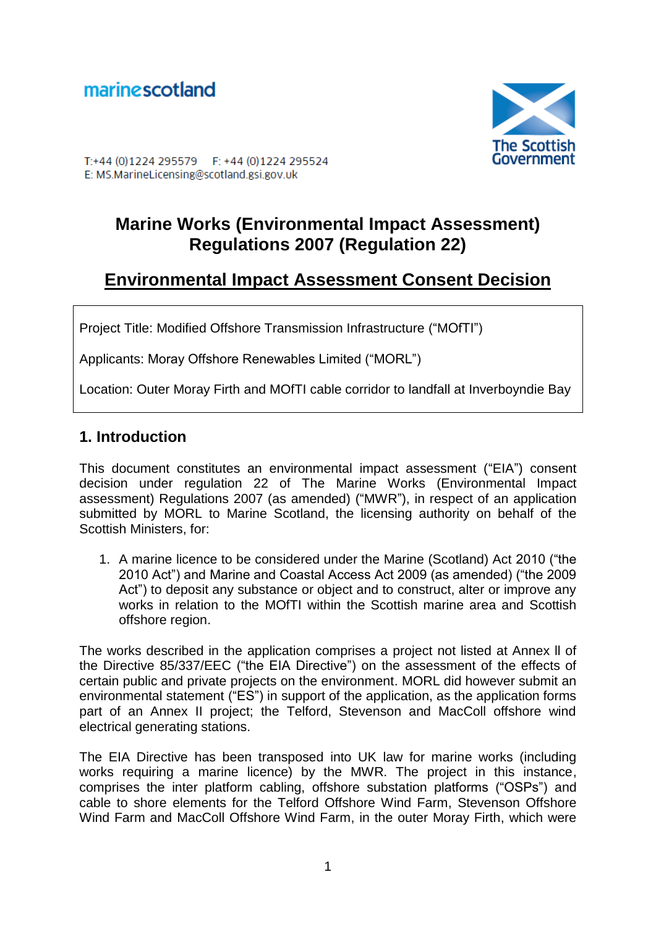

T:+44 (0) 1224 295579 F: +44 (0) 1224 295524 E: MS.MarineLicensing@scotland.gsi.gov.uk

# **Marine Works (Environmental Impact Assessment) Regulations 2007 (Regulation 22)**

# **Environmental Impact Assessment Consent Decision**

Project Title: Modified Offshore Transmission Infrastructure ("MOfTI")

Applicants: Moray Offshore Renewables Limited ("MORL")

Location: Outer Moray Firth and MOfTI cable corridor to landfall at Inverboyndie Bay

## **1. Introduction**

This document constitutes an environmental impact assessment ("EIA") consent decision under regulation 22 of The Marine Works (Environmental Impact assessment) Regulations 2007 (as amended) ("MWR"), in respect of an application submitted by MORL to Marine Scotland, the licensing authority on behalf of the Scottish Ministers, for:

1. A marine licence to be considered under the Marine (Scotland) Act 2010 ("the 2010 Act") and Marine and Coastal Access Act 2009 (as amended) ("the 2009 Act") to deposit any substance or object and to construct, alter or improve any works in relation to the MOfTI within the Scottish marine area and Scottish offshore region.

The works described in the application comprises a project not listed at Annex ll of the Directive 85/337/EEC ("the EIA Directive") on the assessment of the effects of certain public and private projects on the environment. MORL did however submit an environmental statement ("ES") in support of the application, as the application forms part of an Annex II project; the Telford, Stevenson and MacColl offshore wind electrical generating stations.

The EIA Directive has been transposed into UK law for marine works (including works requiring a marine licence) by the MWR. The project in this instance, comprises the inter platform cabling, offshore substation platforms ("OSPs") and cable to shore elements for the Telford Offshore Wind Farm, Stevenson Offshore Wind Farm and MacColl Offshore Wind Farm, in the outer Moray Firth, which were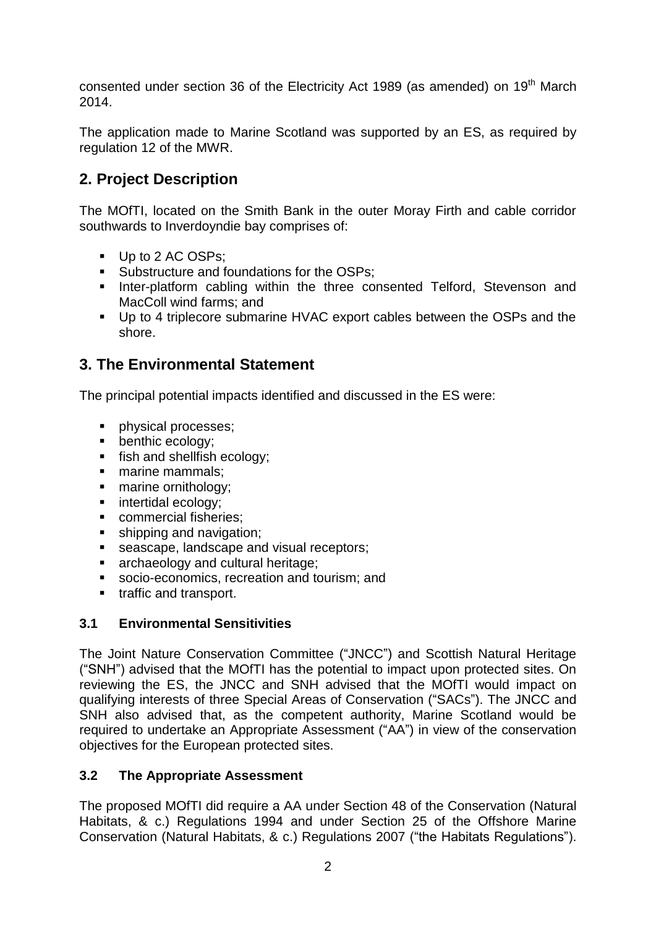consented under section 36 of the Electricity Act 1989 (as amended) on 19<sup>th</sup> March 2014.

The application made to Marine Scotland was supported by an ES, as required by regulation 12 of the MWR.

## **2. Project Description**

The MOfTI, located on the Smith Bank in the outer Moray Firth and cable corridor southwards to Inverdoyndie bay comprises of:

- Up to 2 AC OSPs:
- Substructure and foundations for the OSPs;
- **Inter-platform cabling within the three consented Telford, Stevenson and** MacColl wind farms; and
- Up to 4 triplecore submarine HVAC export cables between the OSPs and the shore.

## **3. The Environmental Statement**

The principal potential impacts identified and discussed in the ES were:

- **physical processes:**
- **•** benthic ecology:
- **fish and shellfish ecology;**
- marine mammals;
- marine ornithology;
- **intertidal ecology;**
- **Commercial fisheries:**
- **shipping and navigation;**
- Seascape, landscape and visual receptors;<br>
archaeology and cultural heritage;
- archaeology and cultural heritage;
- socio-economics, recreation and tourism; and
- **traffic and transport.**

#### **3.1 Environmental Sensitivities**

The Joint Nature Conservation Committee ("JNCC") and Scottish Natural Heritage ("SNH") advised that the MOfTI has the potential to impact upon protected sites. On reviewing the ES, the JNCC and SNH advised that the MOfTI would impact on qualifying interests of three Special Areas of Conservation ("SACs"). The JNCC and SNH also advised that, as the competent authority, Marine Scotland would be required to undertake an Appropriate Assessment ("AA") in view of the conservation objectives for the European protected sites.

#### **3.2 The Appropriate Assessment**

The proposed MOfTI did require a AA under Section 48 of the Conservation (Natural Habitats, & c.) Regulations 1994 and under Section 25 of the Offshore Marine Conservation (Natural Habitats, & c.) Regulations 2007 ("the Habitats Regulations").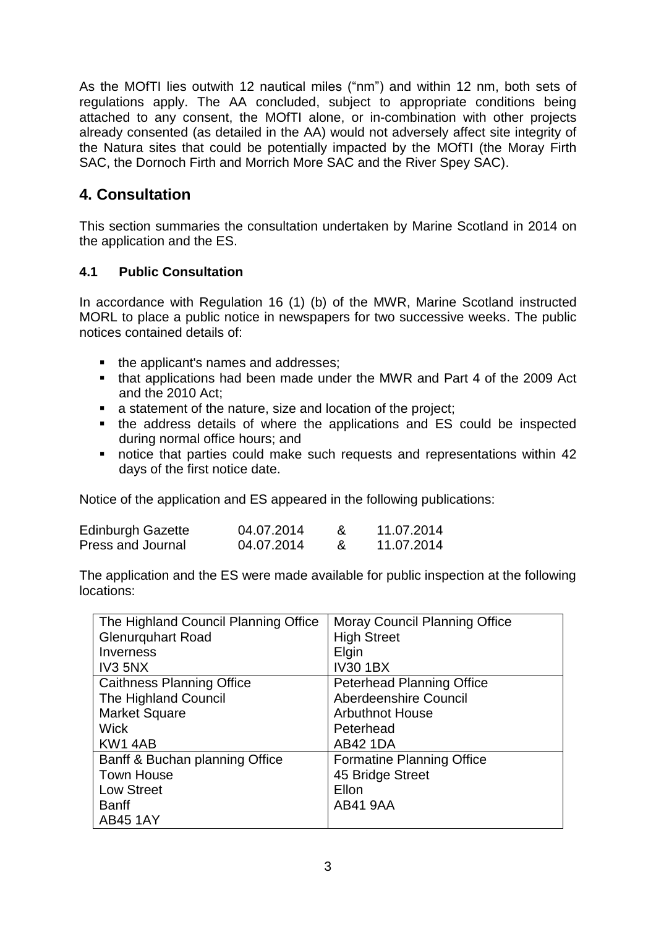As the MOfTI lies outwith 12 nautical miles ("nm") and within 12 nm, both sets of regulations apply. The AA concluded, subject to appropriate conditions being attached to any consent, the MOfTI alone, or in-combination with other projects already consented (as detailed in the AA) would not adversely affect site integrity of the Natura sites that could be potentially impacted by the MOfTI (the Moray Firth SAC, the Dornoch Firth and Morrich More SAC and the River Spey SAC).

## **4. Consultation**

This section summaries the consultation undertaken by Marine Scotland in 2014 on the application and the ES.

#### **4.1 Public Consultation**

In accordance with Regulation 16 (1) (b) of the MWR, Marine Scotland instructed MORL to place a public notice in newspapers for two successive weeks. The public notices contained details of:

- the applicant's names and addresses;
- that applications had been made under the MWR and Part 4 of the 2009 Act and the 2010 Act;
- a statement of the nature, size and location of the project;
- the address details of where the applications and ES could be inspected during normal office hours; and
- notice that parties could make such requests and representations within 42 days of the first notice date.

Notice of the application and ES appeared in the following publications:

| <b>Edinburgh Gazette</b> | 04.07.2014 | 11.07.2014 |
|--------------------------|------------|------------|
| Press and Journal        | 04.07.2014 | 11.07.2014 |

The application and the ES were made available for public inspection at the following locations:

| The Highland Council Planning Office | <b>Moray Council Planning Office</b> |
|--------------------------------------|--------------------------------------|
| <b>Glenurquhart Road</b>             | <b>High Street</b>                   |
| Inverness                            | Elgin                                |
| IV3 5NX                              | <b>IV30 1BX</b>                      |
| <b>Caithness Planning Office</b>     | <b>Peterhead Planning Office</b>     |
| The Highland Council                 | Aberdeenshire Council                |
| <b>Market Square</b>                 | <b>Arbuthnot House</b>               |
| <b>Wick</b>                          | Peterhead                            |
| KW14AB                               | <b>AB42 1DA</b>                      |
| Banff & Buchan planning Office       | Formatine Planning Office            |
| <b>Town House</b>                    | 45 Bridge Street                     |
| <b>Low Street</b>                    | Ellon                                |
| <b>Banff</b>                         | <b>AB41 9AA</b>                      |
| <b>AB45 1AY</b>                      |                                      |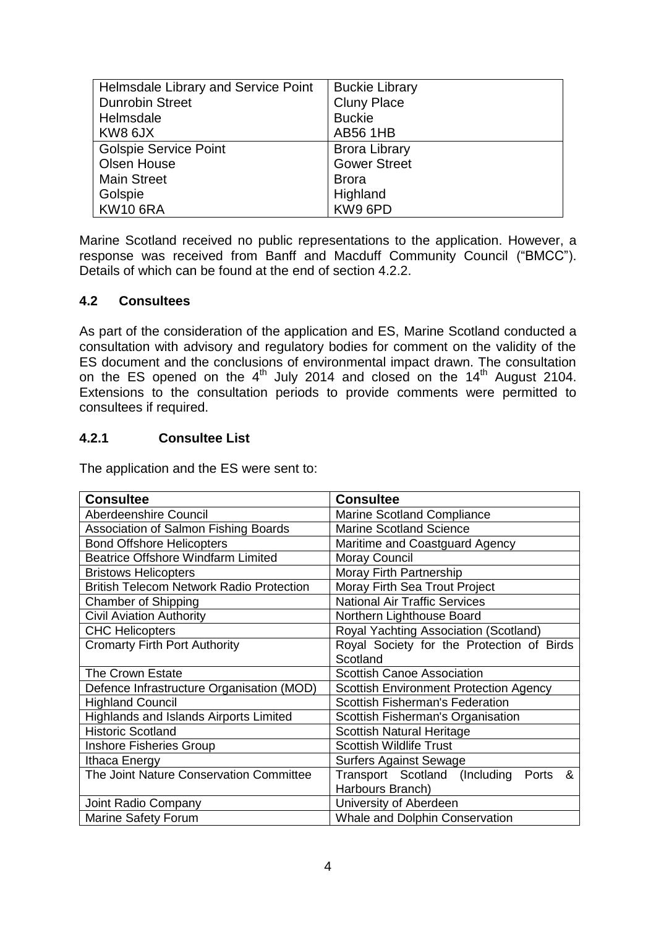| Helmsdale Library and Service Point | <b>Buckie Library</b> |
|-------------------------------------|-----------------------|
| <b>Dunrobin Street</b>              | <b>Cluny Place</b>    |
| Helmsdale                           | <b>Buckie</b>         |
| KW8 6JX                             | <b>AB56 1HB</b>       |
| <b>Golspie Service Point</b>        | <b>Brora Library</b>  |
| <b>Olsen House</b>                  | <b>Gower Street</b>   |
| <b>Main Street</b>                  | <b>Brora</b>          |
| Golspie                             | Highland              |
| <b>KW10 6RA</b>                     | KW9 6PD               |

Marine Scotland received no public representations to the application. However, a response was received from Banff and Macduff Community Council ("BMCC"). Details of which can be found at the end of section 4.2.2.

#### **4.2 Consultees**

As part of the consideration of the application and ES, Marine Scotland conducted a consultation with advisory and regulatory bodies for comment on the validity of the ES document and the conclusions of environmental impact drawn. The consultation on the ES opened on the  $4<sup>th</sup>$  July 2014 and closed on the 14<sup>th</sup> August 2104. Extensions to the consultation periods to provide comments were permitted to consultees if required.

#### **4.2.1 Consultee List**

The application and the ES were sent to:

| <b>Consultee</b>                                | <b>Consultee</b>                              |  |
|-------------------------------------------------|-----------------------------------------------|--|
| <b>Aberdeenshire Council</b>                    | <b>Marine Scotland Compliance</b>             |  |
| Association of Salmon Fishing Boards            | <b>Marine Scotland Science</b>                |  |
| <b>Bond Offshore Helicopters</b>                | Maritime and Coastguard Agency                |  |
| <b>Beatrice Offshore Windfarm Limited</b>       | <b>Moray Council</b>                          |  |
| <b>Bristows Helicopters</b>                     | Moray Firth Partnership                       |  |
| <b>British Telecom Network Radio Protection</b> | Moray Firth Sea Trout Project                 |  |
| <b>Chamber of Shipping</b>                      | <b>National Air Traffic Services</b>          |  |
| <b>Civil Aviation Authority</b>                 | Northern Lighthouse Board                     |  |
| <b>CHC Helicopters</b>                          | Royal Yachting Association (Scotland)         |  |
| <b>Cromarty Firth Port Authority</b>            | Royal Society for the Protection of Birds     |  |
|                                                 | Scotland                                      |  |
| The Crown Estate                                | <b>Scottish Canoe Association</b>             |  |
| Defence Infrastructure Organisation (MOD)       | <b>Scottish Environment Protection Agency</b> |  |
| <b>Highland Council</b>                         | <b>Scottish Fisherman's Federation</b>        |  |
| <b>Highlands and Islands Airports Limited</b>   | Scottish Fisherman's Organisation             |  |
| <b>Historic Scotland</b>                        | <b>Scottish Natural Heritage</b>              |  |
| <b>Inshore Fisheries Group</b>                  | <b>Scottish Wildlife Trust</b>                |  |
| Ithaca Energy                                   | <b>Surfers Against Sewage</b>                 |  |
| The Joint Nature Conservation Committee         | Transport Scotland (Including<br>Ports<br>&   |  |
|                                                 | Harbours Branch)                              |  |
| Joint Radio Company                             | University of Aberdeen                        |  |
| <b>Marine Safety Forum</b>                      | <b>Whale and Dolphin Conservation</b>         |  |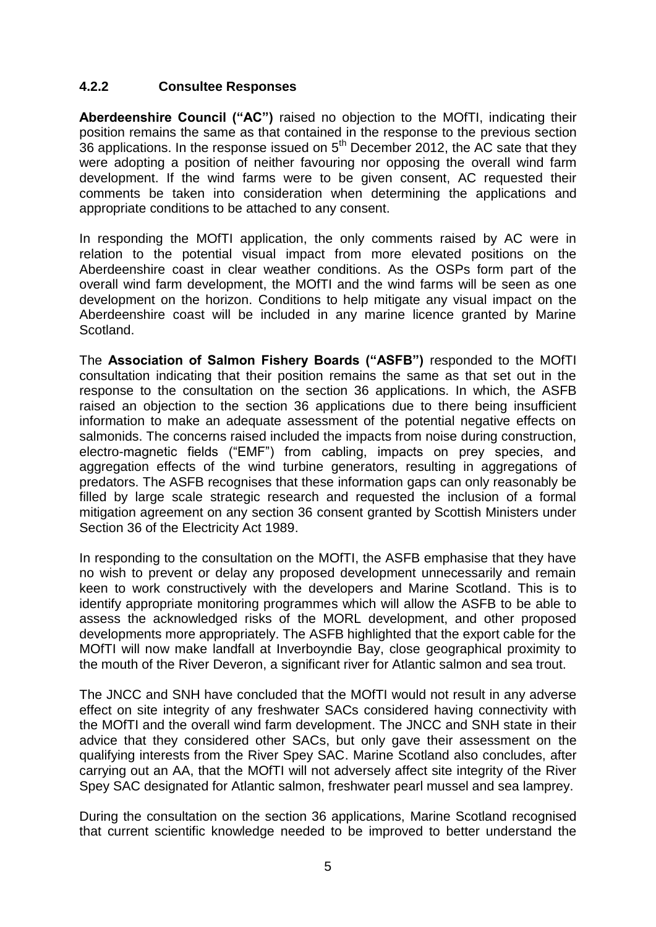#### **4.2.2 Consultee Responses**

**Aberdeenshire Council ("AC")** raised no objection to the MOfTI, indicating their position remains the same as that contained in the response to the previous section 36 applications. In the response issued on  $5<sup>th</sup>$  December 2012, the AC sate that they were adopting a position of neither favouring nor opposing the overall wind farm development. If the wind farms were to be given consent, AC requested their comments be taken into consideration when determining the applications and appropriate conditions to be attached to any consent.

In responding the MOfTI application, the only comments raised by AC were in relation to the potential visual impact from more elevated positions on the Aberdeenshire coast in clear weather conditions. As the OSPs form part of the overall wind farm development, the MOfTI and the wind farms will be seen as one development on the horizon. Conditions to help mitigate any visual impact on the Aberdeenshire coast will be included in any marine licence granted by Marine Scotland.

The **Association of Salmon Fishery Boards ("ASFB")** responded to the MOfTI consultation indicating that their position remains the same as that set out in the response to the consultation on the section 36 applications. In which, the ASFB raised an objection to the section 36 applications due to there being insufficient information to make an adequate assessment of the potential negative effects on salmonids. The concerns raised included the impacts from noise during construction, electro-magnetic fields ("EMF") from cabling, impacts on prey species, and aggregation effects of the wind turbine generators, resulting in aggregations of predators. The ASFB recognises that these information gaps can only reasonably be filled by large scale strategic research and requested the inclusion of a formal mitigation agreement on any section 36 consent granted by Scottish Ministers under Section 36 of the Electricity Act 1989.

In responding to the consultation on the MOFTI, the ASFB emphasise that they have no wish to prevent or delay any proposed development unnecessarily and remain keen to work constructively with the developers and Marine Scotland. This is to identify appropriate monitoring programmes which will allow the ASFB to be able to assess the acknowledged risks of the MORL development, and other proposed developments more appropriately. The ASFB highlighted that the export cable for the MOfTI will now make landfall at Inverboyndie Bay, close geographical proximity to the mouth of the River Deveron, a significant river for Atlantic salmon and sea trout.

The JNCC and SNH have concluded that the MOfTI would not result in any adverse effect on site integrity of any freshwater SACs considered having connectivity with the MOfTI and the overall wind farm development. The JNCC and SNH state in their advice that they considered other SACs, but only gave their assessment on the qualifying interests from the River Spey SAC. Marine Scotland also concludes, after carrying out an AA, that the MOfTI will not adversely affect site integrity of the River Spey SAC designated for Atlantic salmon, freshwater pearl mussel and sea lamprey.

During the consultation on the section 36 applications, Marine Scotland recognised that current scientific knowledge needed to be improved to better understand the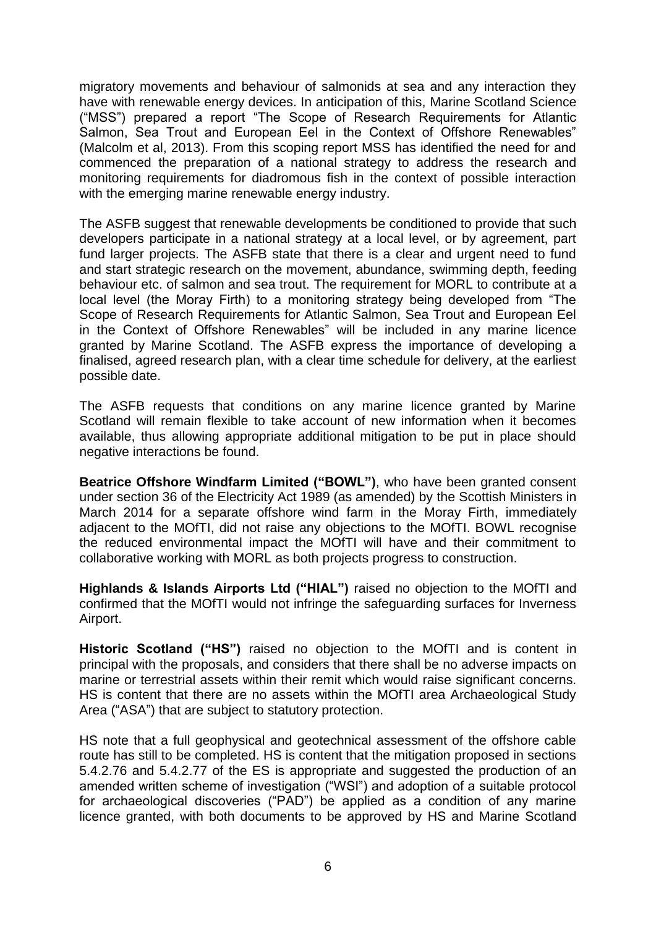migratory movements and behaviour of salmonids at sea and any interaction they have with renewable energy devices. In anticipation of this, Marine Scotland Science ("MSS") prepared a report "The Scope of Research Requirements for Atlantic Salmon, Sea Trout and European Eel in the Context of Offshore Renewables" (Malcolm et al, 2013). From this scoping report MSS has identified the need for and commenced the preparation of a national strategy to address the research and monitoring requirements for diadromous fish in the context of possible interaction with the emerging marine renewable energy industry.

The ASFB suggest that renewable developments be conditioned to provide that such developers participate in a national strategy at a local level, or by agreement, part fund larger projects. The ASFB state that there is a clear and urgent need to fund and start strategic research on the movement, abundance, swimming depth, feeding behaviour etc. of salmon and sea trout. The requirement for MORL to contribute at a local level (the Moray Firth) to a monitoring strategy being developed from "The Scope of Research Requirements for Atlantic Salmon, Sea Trout and European Eel in the Context of Offshore Renewables" will be included in any marine licence granted by Marine Scotland. The ASFB express the importance of developing a finalised, agreed research plan, with a clear time schedule for delivery, at the earliest possible date.

The ASFB requests that conditions on any marine licence granted by Marine Scotland will remain flexible to take account of new information when it becomes available, thus allowing appropriate additional mitigation to be put in place should negative interactions be found.

**Beatrice Offshore Windfarm Limited ("BOWL")**, who have been granted consent under section 36 of the Electricity Act 1989 (as amended) by the Scottish Ministers in March 2014 for a separate offshore wind farm in the Moray Firth, immediately adjacent to the MOfTI, did not raise any objections to the MOfTI. BOWL recognise the reduced environmental impact the MOfTI will have and their commitment to collaborative working with MORL as both projects progress to construction.

**Highlands & Islands Airports Ltd ("HIAL")** raised no objection to the MOfTI and confirmed that the MOfTI would not infringe the safeguarding surfaces for Inverness Airport.

**Historic Scotland ("HS")** raised no objection to the MOfTI and is content in principal with the proposals, and considers that there shall be no adverse impacts on marine or terrestrial assets within their remit which would raise significant concerns. HS is content that there are no assets within the MOfTI area Archaeological Study Area ("ASA") that are subject to statutory protection.

HS note that a full geophysical and geotechnical assessment of the offshore cable route has still to be completed. HS is content that the mitigation proposed in sections 5.4.2.76 and 5.4.2.77 of the ES is appropriate and suggested the production of an amended written scheme of investigation ("WSI") and adoption of a suitable protocol for archaeological discoveries ("PAD") be applied as a condition of any marine licence granted, with both documents to be approved by HS and Marine Scotland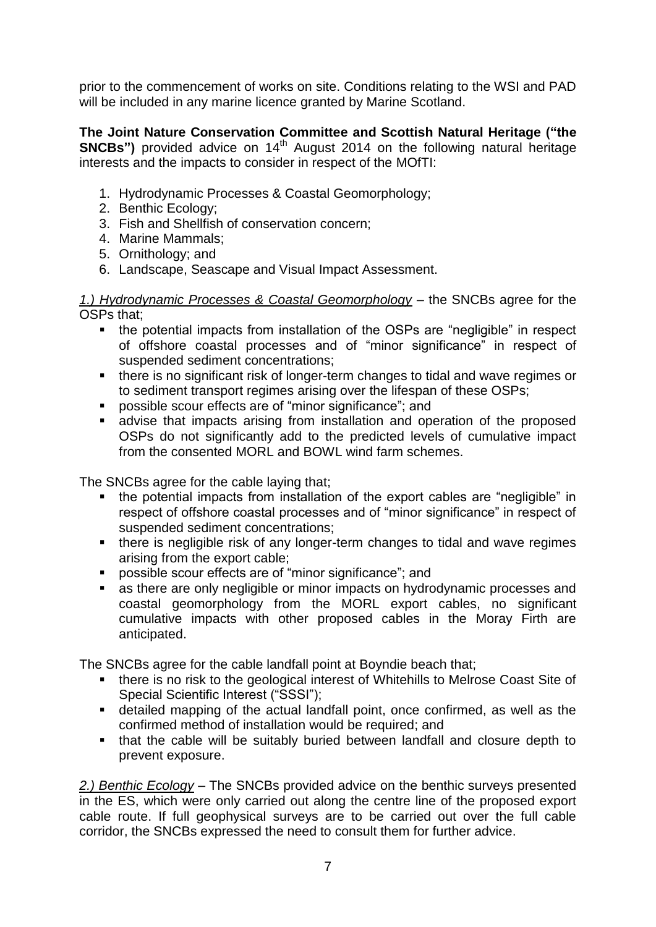prior to the commencement of works on site. Conditions relating to the WSI and PAD will be included in any marine licence granted by Marine Scotland.

**The Joint Nature Conservation Committee and Scottish Natural Heritage ("the SNCBs")** provided advice on 14<sup>th</sup> August 2014 on the following natural heritage interests and the impacts to consider in respect of the MOfTI:

- 1. Hydrodynamic Processes & Coastal Geomorphology;
- 2. Benthic Ecology;
- 3. Fish and Shellfish of conservation concern;
- 4. Marine Mammals;
- 5. Ornithology; and
- 6. Landscape, Seascape and Visual Impact Assessment.

*1.) Hydrodynamic Processes & Coastal Geomorphology* – the SNCBs agree for the OSPs that;

- the potential impacts from installation of the OSPs are "negligible" in respect of offshore coastal processes and of "minor significance" in respect of suspended sediment concentrations;
- there is no significant risk of longer-term changes to tidal and wave regimes or to sediment transport regimes arising over the lifespan of these OSPs;
- possible scour effects are of "minor significance"; and
- advise that impacts arising from installation and operation of the proposed OSPs do not significantly add to the predicted levels of cumulative impact from the consented MORL and BOWL wind farm schemes.

The SNCBs agree for the cable laying that;

- the potential impacts from installation of the export cables are "negligible" in respect of offshore coastal processes and of "minor significance" in respect of suspended sediment concentrations;
- there is negligible risk of any longer-term changes to tidal and wave regimes arising from the export cable;
- possible scour effects are of "minor significance"; and
- **as there are only negligible or minor impacts on hydrodynamic processes and** coastal geomorphology from the MORL export cables, no significant cumulative impacts with other proposed cables in the Moray Firth are anticipated.

The SNCBs agree for the cable landfall point at Boyndie beach that;

- there is no risk to the geological interest of Whitehills to Melrose Coast Site of Special Scientific Interest ("SSSI");
- detailed mapping of the actual landfall point, once confirmed, as well as the confirmed method of installation would be required; and
- that the cable will be suitably buried between landfall and closure depth to prevent exposure.

*2.) Benthic Ecology* – The SNCBs provided advice on the benthic surveys presented in the ES, which were only carried out along the centre line of the proposed export cable route. If full geophysical surveys are to be carried out over the full cable corridor, the SNCBs expressed the need to consult them for further advice.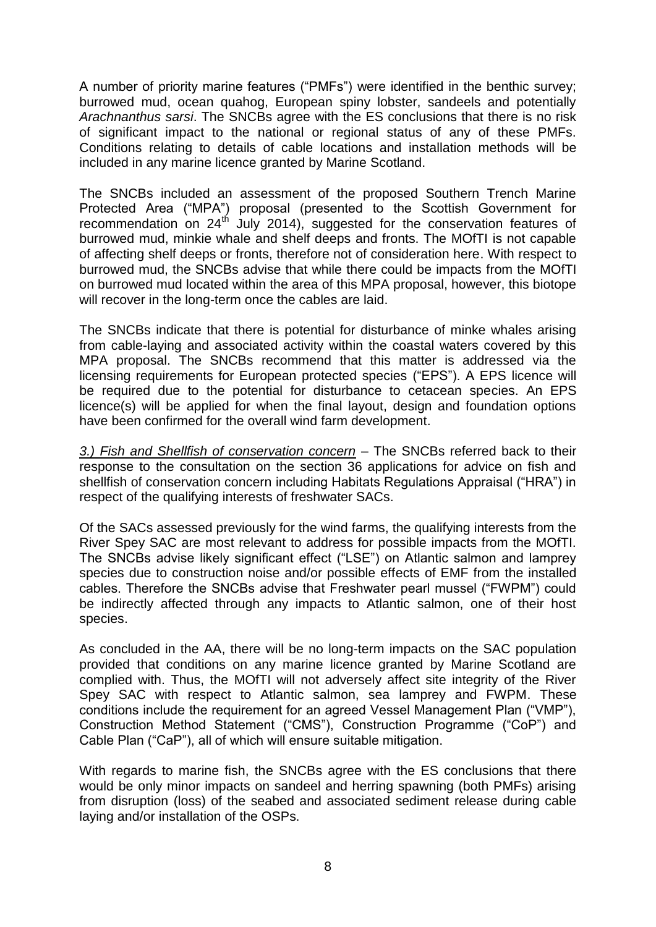A number of priority marine features ("PMFs") were identified in the benthic survey; burrowed mud, ocean quahog, European spiny lobster, sandeels and potentially *Arachnanthus sarsi*. The SNCBs agree with the ES conclusions that there is no risk of significant impact to the national or regional status of any of these PMFs. Conditions relating to details of cable locations and installation methods will be included in any marine licence granted by Marine Scotland.

The SNCBs included an assessment of the proposed Southern Trench Marine Protected Area ("MPA") proposal (presented to the Scottish Government for recommendation on 24th July 2014), suggested for the conservation features of burrowed mud, minkie whale and shelf deeps and fronts. The MOfTI is not capable of affecting shelf deeps or fronts, therefore not of consideration here. With respect to burrowed mud, the SNCBs advise that while there could be impacts from the MOfTI on burrowed mud located within the area of this MPA proposal, however, this biotope will recover in the long-term once the cables are laid.

The SNCBs indicate that there is potential for disturbance of minke whales arising from cable-laying and associated activity within the coastal waters covered by this MPA proposal. The SNCBs recommend that this matter is addressed via the licensing requirements for European protected species ("EPS"). A EPS licence will be required due to the potential for disturbance to cetacean species. An EPS licence(s) will be applied for when the final layout, design and foundation options have been confirmed for the overall wind farm development.

*3.) Fish and Shellfish of conservation concern* – The SNCBs referred back to their response to the consultation on the section 36 applications for advice on fish and shellfish of conservation concern including Habitats Regulations Appraisal ("HRA") in respect of the qualifying interests of freshwater SACs.

Of the SACs assessed previously for the wind farms, the qualifying interests from the River Spey SAC are most relevant to address for possible impacts from the MOfTI. The SNCBs advise likely significant effect ("LSE") on Atlantic salmon and lamprey species due to construction noise and/or possible effects of EMF from the installed cables. Therefore the SNCBs advise that Freshwater pearl mussel ("FWPM") could be indirectly affected through any impacts to Atlantic salmon, one of their host species.

As concluded in the AA, there will be no long-term impacts on the SAC population provided that conditions on any marine licence granted by Marine Scotland are complied with. Thus, the MOfTI will not adversely affect site integrity of the River Spey SAC with respect to Atlantic salmon, sea lamprey and FWPM. These conditions include the requirement for an agreed Vessel Management Plan ("VMP"), Construction Method Statement ("CMS"), Construction Programme ("CoP") and Cable Plan ("CaP"), all of which will ensure suitable mitigation.

With regards to marine fish, the SNCBs agree with the ES conclusions that there would be only minor impacts on sandeel and herring spawning (both PMFs) arising from disruption (loss) of the seabed and associated sediment release during cable laying and/or installation of the OSPs.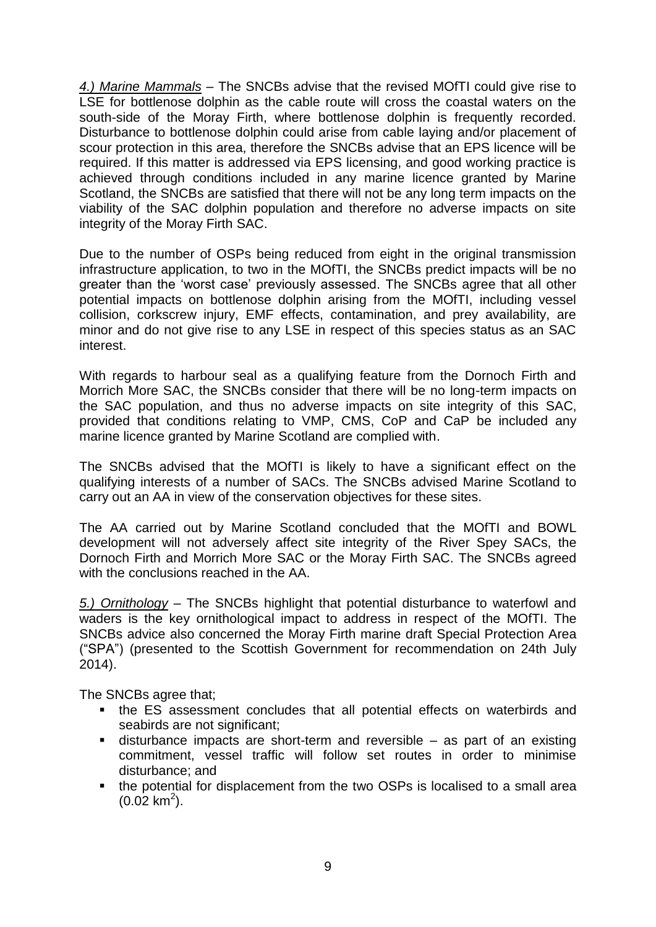*4.) Marine Mammals* – The SNCBs advise that the revised MOfTI could give rise to LSE for bottlenose dolphin as the cable route will cross the coastal waters on the south-side of the Moray Firth, where bottlenose dolphin is frequently recorded. Disturbance to bottlenose dolphin could arise from cable laying and/or placement of scour protection in this area, therefore the SNCBs advise that an EPS licence will be required. If this matter is addressed via EPS licensing, and good working practice is achieved through conditions included in any marine licence granted by Marine Scotland, the SNCBs are satisfied that there will not be any long term impacts on the viability of the SAC dolphin population and therefore no adverse impacts on site integrity of the Moray Firth SAC.

Due to the number of OSPs being reduced from eight in the original transmission infrastructure application, to two in the MOfTI, the SNCBs predict impacts will be no greater than the 'worst case' previously assessed. The SNCBs agree that all other potential impacts on bottlenose dolphin arising from the MOfTI, including vessel collision, corkscrew injury, EMF effects, contamination, and prey availability, are minor and do not give rise to any LSE in respect of this species status as an SAC interest.

With regards to harbour seal as a qualifying feature from the Dornoch Firth and Morrich More SAC, the SNCBs consider that there will be no long-term impacts on the SAC population, and thus no adverse impacts on site integrity of this SAC, provided that conditions relating to VMP, CMS, CoP and CaP be included any marine licence granted by Marine Scotland are complied with.

The SNCBs advised that the MOfTI is likely to have a significant effect on the qualifying interests of a number of SACs. The SNCBs advised Marine Scotland to carry out an AA in view of the conservation objectives for these sites.

The AA carried out by Marine Scotland concluded that the MOfTI and BOWL development will not adversely affect site integrity of the River Spey SACs, the Dornoch Firth and Morrich More SAC or the Moray Firth SAC. The SNCBs agreed with the conclusions reached in the AA.

*5.) Ornithology* – The SNCBs highlight that potential disturbance to waterfowl and waders is the key ornithological impact to address in respect of the MOfTI. The SNCBs advice also concerned the Moray Firth marine draft Special Protection Area ("SPA") (presented to the Scottish Government for recommendation on 24th July 2014).

The SNCBs agree that;

- the ES assessment concludes that all potential effects on waterbirds and seabirds are not significant;
- disturbance impacts are short-term and reversible as part of an existing commitment, vessel traffic will follow set routes in order to minimise disturbance; and
- the potential for displacement from the two OSPs is localised to a small area  $(0.02 \text{ km}^2)$ .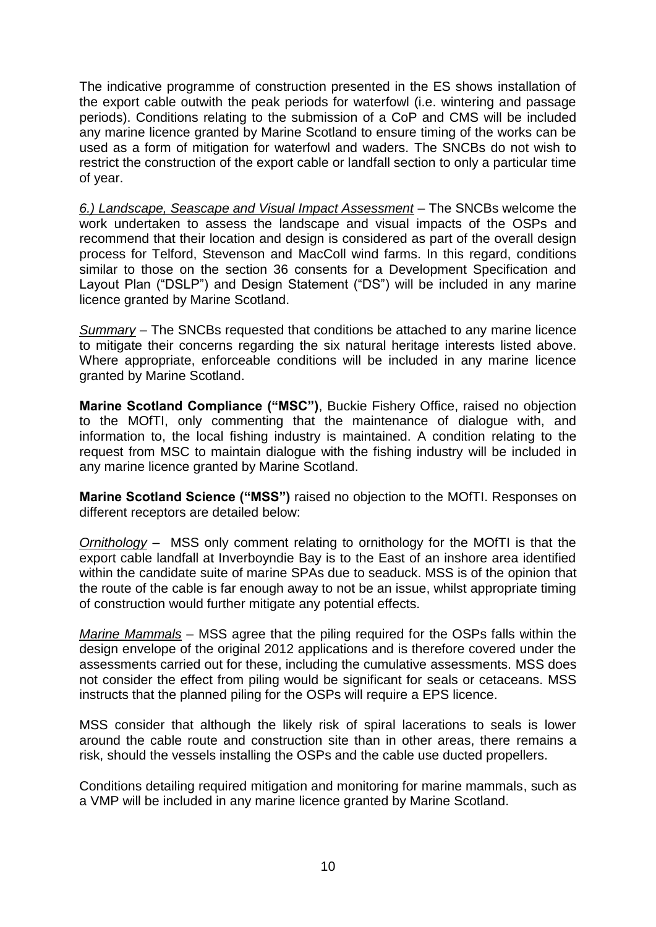The indicative programme of construction presented in the ES shows installation of the export cable outwith the peak periods for waterfowl (i.e. wintering and passage periods). Conditions relating to the submission of a CoP and CMS will be included any marine licence granted by Marine Scotland to ensure timing of the works can be used as a form of mitigation for waterfowl and waders. The SNCBs do not wish to restrict the construction of the export cable or landfall section to only a particular time of year.

*6.) Landscape, Seascape and Visual Impact Assessment* – The SNCBs welcome the work undertaken to assess the landscape and visual impacts of the OSPs and recommend that their location and design is considered as part of the overall design process for Telford, Stevenson and MacColl wind farms. In this regard, conditions similar to those on the section 36 consents for a Development Specification and Layout Plan ("DSLP") and Design Statement ("DS") will be included in any marine licence granted by Marine Scotland.

*Summary* – The SNCBs requested that conditions be attached to any marine licence to mitigate their concerns regarding the six natural heritage interests listed above. Where appropriate, enforceable conditions will be included in any marine licence granted by Marine Scotland.

**Marine Scotland Compliance ("MSC")**, Buckie Fishery Office, raised no objection to the MOfTI, only commenting that the maintenance of dialogue with, and information to, the local fishing industry is maintained. A condition relating to the request from MSC to maintain dialogue with the fishing industry will be included in any marine licence granted by Marine Scotland.

**Marine Scotland Science ("MSS")** raised no objection to the MOfTI. Responses on different receptors are detailed below:

*Ornithology* – MSS only comment relating to ornithology for the MOfTI is that the export cable landfall at Inverboyndie Bay is to the East of an inshore area identified within the candidate suite of marine SPAs due to seaduck. MSS is of the opinion that the route of the cable is far enough away to not be an issue, whilst appropriate timing of construction would further mitigate any potential effects.

*Marine Mammals* – MSS agree that the piling required for the OSPs falls within the design envelope of the original 2012 applications and is therefore covered under the assessments carried out for these, including the cumulative assessments. MSS does not consider the effect from piling would be significant for seals or cetaceans. MSS instructs that the planned piling for the OSPs will require a EPS licence.

MSS consider that although the likely risk of spiral lacerations to seals is lower around the cable route and construction site than in other areas, there remains a risk, should the vessels installing the OSPs and the cable use ducted propellers.

Conditions detailing required mitigation and monitoring for marine mammals, such as a VMP will be included in any marine licence granted by Marine Scotland.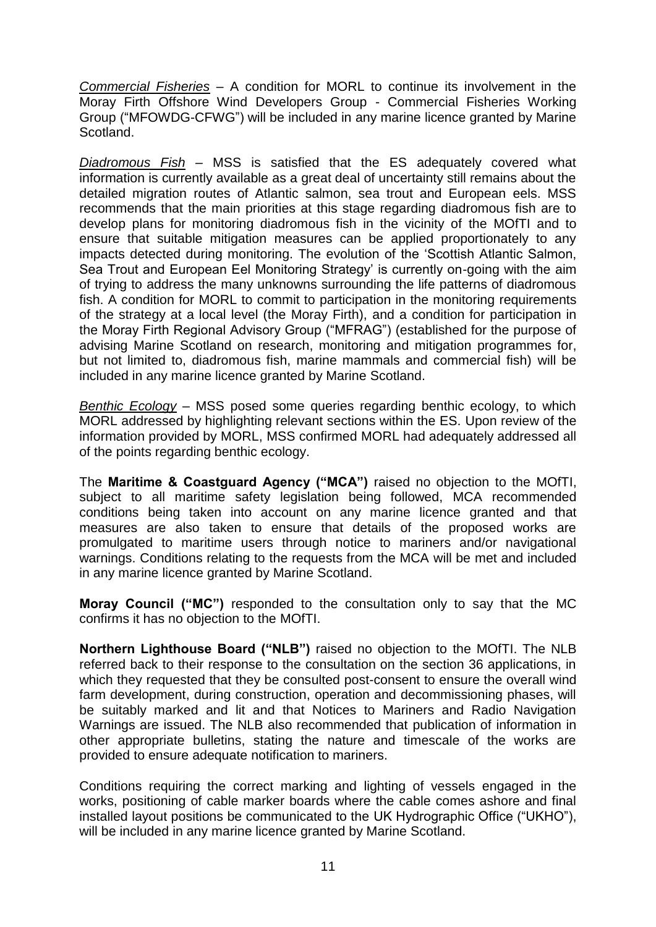*Commercial Fisheries* – A condition for MORL to continue its involvement in the Moray Firth Offshore Wind Developers Group - Commercial Fisheries Working Group ("MFOWDG-CFWG") will be included in any marine licence granted by Marine Scotland.

*Diadromous Fish –* MSS is satisfied that the ES adequately covered what information is currently available as a great deal of uncertainty still remains about the detailed migration routes of Atlantic salmon, sea trout and European eels. MSS recommends that the main priorities at this stage regarding diadromous fish are to develop plans for monitoring diadromous fish in the vicinity of the MOfTI and to ensure that suitable mitigation measures can be applied proportionately to any impacts detected during monitoring. The evolution of the 'Scottish Atlantic Salmon, Sea Trout and European Eel Monitoring Strategy' is currently on-going with the aim of trying to address the many unknowns surrounding the life patterns of diadromous fish. A condition for MORL to commit to participation in the monitoring requirements of the strategy at a local level (the Moray Firth), and a condition for participation in the Moray Firth Regional Advisory Group ("MFRAG") (established for the purpose of advising Marine Scotland on research, monitoring and mitigation programmes for, but not limited to, diadromous fish, marine mammals and commercial fish) will be included in any marine licence granted by Marine Scotland.

*Benthic Ecology* – MSS posed some queries regarding benthic ecology, to which MORL addressed by highlighting relevant sections within the ES. Upon review of the information provided by MORL, MSS confirmed MORL had adequately addressed all of the points regarding benthic ecology.

The **Maritime & Coastguard Agency ("MCA")** raised no objection to the MOfTI, subject to all maritime safety legislation being followed, MCA recommended conditions being taken into account on any marine licence granted and that measures are also taken to ensure that details of the proposed works are promulgated to maritime users through notice to mariners and/or navigational warnings. Conditions relating to the requests from the MCA will be met and included in any marine licence granted by Marine Scotland.

**Moray Council ("MC")** responded to the consultation only to say that the MC confirms it has no objection to the MOfTI.

**Northern Lighthouse Board ("NLB")** raised no objection to the MOfTI. The NLB referred back to their response to the consultation on the section 36 applications, in which they requested that they be consulted post-consent to ensure the overall wind farm development, during construction, operation and decommissioning phases, will be suitably marked and lit and that Notices to Mariners and Radio Navigation Warnings are issued. The NLB also recommended that publication of information in other appropriate bulletins, stating the nature and timescale of the works are provided to ensure adequate notification to mariners.

Conditions requiring the correct marking and lighting of vessels engaged in the works, positioning of cable marker boards where the cable comes ashore and final installed layout positions be communicated to the UK Hydrographic Office ("UKHO"), will be included in any marine licence granted by Marine Scotland.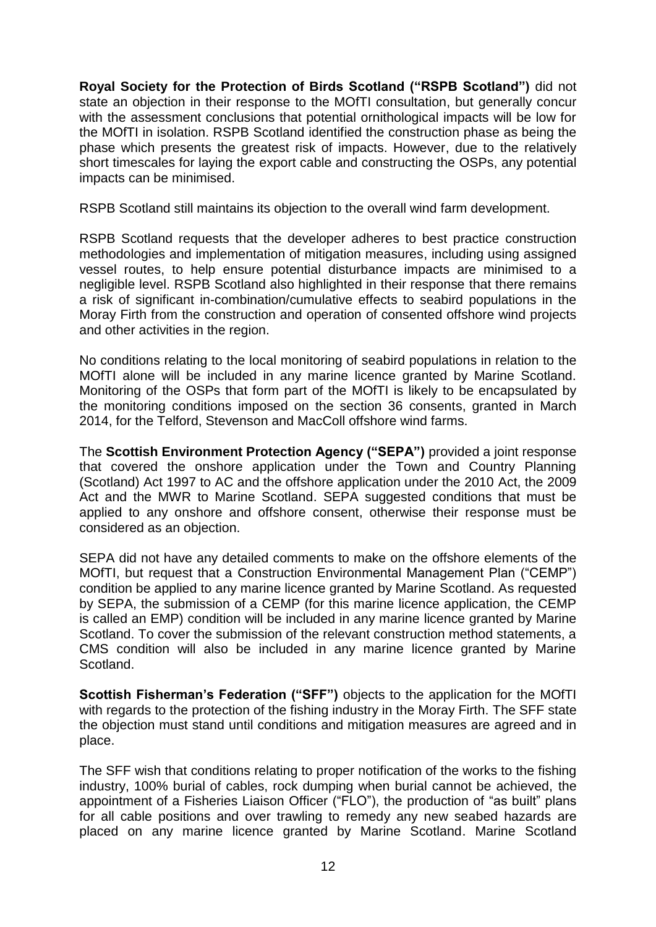**Royal Society for the Protection of Birds Scotland ("RSPB Scotland")** did not state an objection in their response to the MOfTI consultation, but generally concur with the assessment conclusions that potential ornithological impacts will be low for the MOfTI in isolation. RSPB Scotland identified the construction phase as being the phase which presents the greatest risk of impacts. However, due to the relatively short timescales for laying the export cable and constructing the OSPs, any potential impacts can be minimised.

RSPB Scotland still maintains its objection to the overall wind farm development.

RSPB Scotland requests that the developer adheres to best practice construction methodologies and implementation of mitigation measures, including using assigned vessel routes, to help ensure potential disturbance impacts are minimised to a negligible level. RSPB Scotland also highlighted in their response that there remains a risk of significant in-combination/cumulative effects to seabird populations in the Moray Firth from the construction and operation of consented offshore wind projects and other activities in the region.

No conditions relating to the local monitoring of seabird populations in relation to the MOfTI alone will be included in any marine licence granted by Marine Scotland. Monitoring of the OSPs that form part of the MOfTI is likely to be encapsulated by the monitoring conditions imposed on the section 36 consents, granted in March 2014, for the Telford, Stevenson and MacColl offshore wind farms.

The **Scottish Environment Protection Agency ("SEPA")** provided a joint response that covered the onshore application under the Town and Country Planning (Scotland) Act 1997 to AC and the offshore application under the 2010 Act, the 2009 Act and the MWR to Marine Scotland. SEPA suggested conditions that must be applied to any onshore and offshore consent, otherwise their response must be considered as an objection.

SEPA did not have any detailed comments to make on the offshore elements of the MOfTI, but request that a Construction Environmental Management Plan ("CEMP") condition be applied to any marine licence granted by Marine Scotland. As requested by SEPA, the submission of a CEMP (for this marine licence application, the CEMP is called an EMP) condition will be included in any marine licence granted by Marine Scotland. To cover the submission of the relevant construction method statements, a CMS condition will also be included in any marine licence granted by Marine Scotland.

**Scottish Fisherman's Federation ("SFF")** objects to the application for the MOfTI with regards to the protection of the fishing industry in the Moray Firth. The SFF state the objection must stand until conditions and mitigation measures are agreed and in place.

The SFF wish that conditions relating to proper notification of the works to the fishing industry, 100% burial of cables, rock dumping when burial cannot be achieved, the appointment of a Fisheries Liaison Officer ("FLO"), the production of "as built" plans for all cable positions and over trawling to remedy any new seabed hazards are placed on any marine licence granted by Marine Scotland. Marine Scotland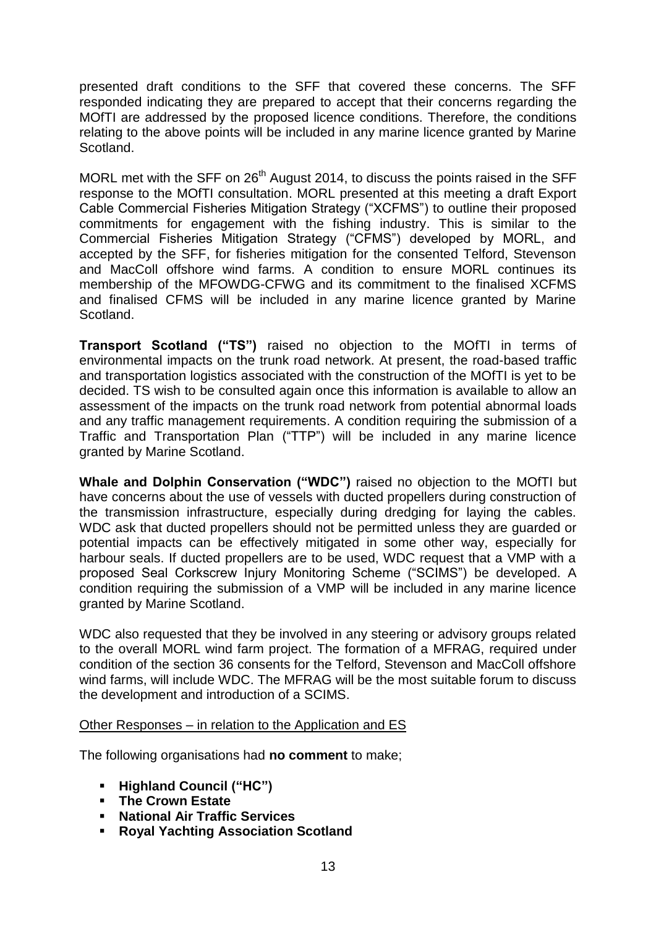presented draft conditions to the SFF that covered these concerns. The SFF responded indicating they are prepared to accept that their concerns regarding the MOfTI are addressed by the proposed licence conditions. Therefore, the conditions relating to the above points will be included in any marine licence granted by Marine Scotland.

MORL met with the SFF on 26<sup>th</sup> August 2014, to discuss the points raised in the SFF response to the MOfTI consultation. MORL presented at this meeting a draft Export Cable Commercial Fisheries Mitigation Strategy ("XCFMS") to outline their proposed commitments for engagement with the fishing industry. This is similar to the Commercial Fisheries Mitigation Strategy ("CFMS") developed by MORL, and accepted by the SFF, for fisheries mitigation for the consented Telford, Stevenson and MacColl offshore wind farms. A condition to ensure MORL continues its membership of the MFOWDG-CFWG and its commitment to the finalised XCFMS and finalised CFMS will be included in any marine licence granted by Marine Scotland.

**Transport Scotland ("TS")** raised no objection to the MOfTI in terms of environmental impacts on the trunk road network. At present, the road-based traffic and transportation logistics associated with the construction of the MOfTI is yet to be decided. TS wish to be consulted again once this information is available to allow an assessment of the impacts on the trunk road network from potential abnormal loads and any traffic management requirements. A condition requiring the submission of a Traffic and Transportation Plan ("TTP") will be included in any marine licence granted by Marine Scotland.

**Whale and Dolphin Conservation ("WDC")** raised no objection to the MOfTI but have concerns about the use of vessels with ducted propellers during construction of the transmission infrastructure, especially during dredging for laying the cables. WDC ask that ducted propellers should not be permitted unless they are guarded or potential impacts can be effectively mitigated in some other way, especially for harbour seals. If ducted propellers are to be used, WDC request that a VMP with a proposed Seal Corkscrew Injury Monitoring Scheme ("SCIMS") be developed. A condition requiring the submission of a VMP will be included in any marine licence granted by Marine Scotland.

WDC also requested that they be involved in any steering or advisory groups related to the overall MORL wind farm project. The formation of a MFRAG, required under condition of the section 36 consents for the Telford, Stevenson and MacColl offshore wind farms, will include WDC. The MFRAG will be the most suitable forum to discuss the development and introduction of a SCIMS.

#### Other Responses – in relation to the Application and ES

The following organisations had **no comment** to make;

- **Highland Council ("HC")**
- **The Crown Estate**
- **National Air Traffic Services**
- **Royal Yachting Association Scotland**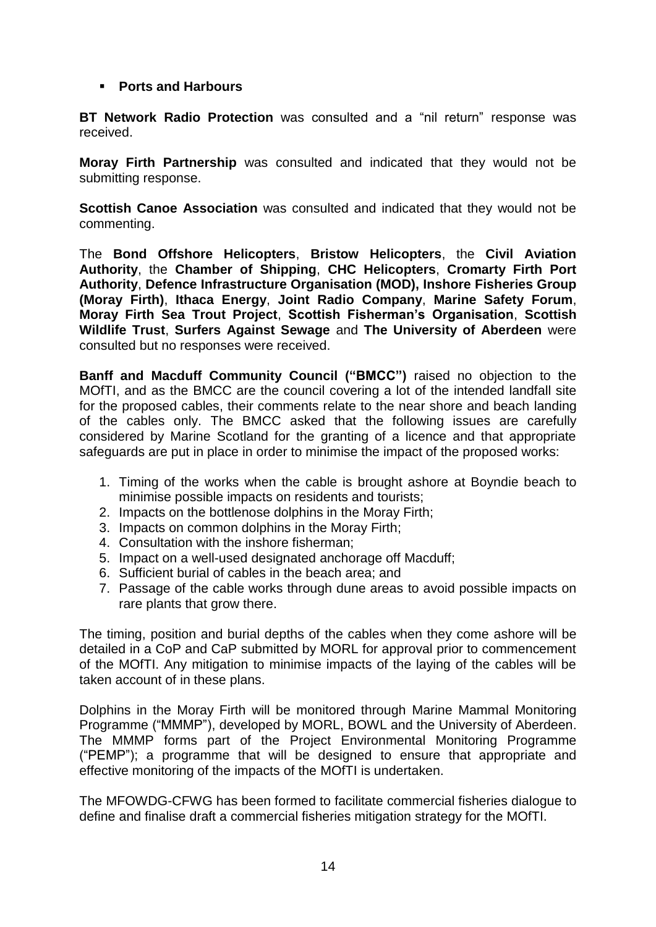#### **Ports and Harbours**

**BT Network Radio Protection** was consulted and a "nil return" response was received.

**Moray Firth Partnership** was consulted and indicated that they would not be submitting response.

**Scottish Canoe Association** was consulted and indicated that they would not be commenting.

The **Bond Offshore Helicopters**, **Bristow Helicopters**, the **Civil Aviation Authority**, the **Chamber of Shipping**, **CHC Helicopters**, **Cromarty Firth Port Authority**, **Defence Infrastructure Organisation (MOD), Inshore Fisheries Group (Moray Firth)**, **Ithaca Energy**, **Joint Radio Company**, **Marine Safety Forum**, **Moray Firth Sea Trout Project**, **Scottish Fisherman's Organisation**, **Scottish Wildlife Trust**, **Surfers Against Sewage** and **The University of Aberdeen** were consulted but no responses were received.

**Banff and Macduff Community Council ("BMCC")** raised no objection to the MOfTI, and as the BMCC are the council covering a lot of the intended landfall site for the proposed cables, their comments relate to the near shore and beach landing of the cables only. The BMCC asked that the following issues are carefully considered by Marine Scotland for the granting of a licence and that appropriate safeguards are put in place in order to minimise the impact of the proposed works:

- 1. Timing of the works when the cable is brought ashore at Boyndie beach to minimise possible impacts on residents and tourists;
- 2. Impacts on the bottlenose dolphins in the Moray Firth;
- 3. Impacts on common dolphins in the Moray Firth;
- 4. Consultation with the inshore fisherman;
- 5. Impact on a well-used designated anchorage off Macduff;
- 6. Sufficient burial of cables in the beach area; and
- 7. Passage of the cable works through dune areas to avoid possible impacts on rare plants that grow there.

The timing, position and burial depths of the cables when they come ashore will be detailed in a CoP and CaP submitted by MORL for approval prior to commencement of the MOfTI. Any mitigation to minimise impacts of the laying of the cables will be taken account of in these plans.

Dolphins in the Moray Firth will be monitored through Marine Mammal Monitoring Programme ("MMMP"), developed by MORL, BOWL and the University of Aberdeen. The MMMP forms part of the Project Environmental Monitoring Programme ("PEMP"); a programme that will be designed to ensure that appropriate and effective monitoring of the impacts of the MOfTI is undertaken.

The MFOWDG-CFWG has been formed to facilitate commercial fisheries dialogue to define and finalise draft a commercial fisheries mitigation strategy for the MOfTI.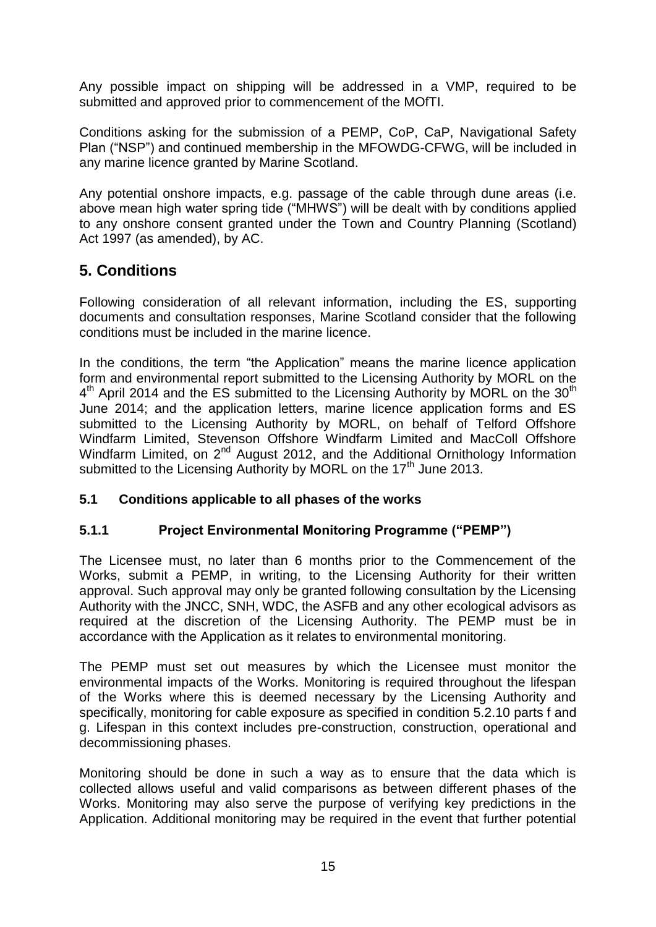Any possible impact on shipping will be addressed in a VMP, required to be submitted and approved prior to commencement of the MOfTI.

Conditions asking for the submission of a PEMP, CoP, CaP, Navigational Safety Plan ("NSP") and continued membership in the MFOWDG-CFWG, will be included in any marine licence granted by Marine Scotland.

Any potential onshore impacts, e.g. passage of the cable through dune areas (i.e. above mean high water spring tide ("MHWS") will be dealt with by conditions applied to any onshore consent granted under the Town and Country Planning (Scotland) Act 1997 (as amended), by AC.

## **5. Conditions**

Following consideration of all relevant information, including the ES, supporting documents and consultation responses, Marine Scotland consider that the following conditions must be included in the marine licence.

In the conditions, the term "the Application" means the marine licence application form and environmental report submitted to the Licensing Authority by MORL on the 4<sup>th</sup> April 2014 and the ES submitted to the Licensing Authority by MORL on the 30<sup>th</sup> June 2014; and the application letters, marine licence application forms and ES submitted to the Licensing Authority by MORL, on behalf of Telford Offshore Windfarm Limited, Stevenson Offshore Windfarm Limited and MacColl Offshore Windfarm Limited, on 2<sup>nd</sup> August 2012, and the Additional Ornithology Information submitted to the Licensing Authority by MORL on the  $17<sup>th</sup>$  June 2013.

#### **5.1 Conditions applicable to all phases of the works**

## **5.1.1 Project Environmental Monitoring Programme ("PEMP")**

The Licensee must, no later than 6 months prior to the Commencement of the Works, submit a PEMP, in writing, to the Licensing Authority for their written approval. Such approval may only be granted following consultation by the Licensing Authority with the JNCC, SNH, WDC, the ASFB and any other ecological advisors as required at the discretion of the Licensing Authority. The PEMP must be in accordance with the Application as it relates to environmental monitoring.

The PEMP must set out measures by which the Licensee must monitor the environmental impacts of the Works. Monitoring is required throughout the lifespan of the Works where this is deemed necessary by the Licensing Authority and specifically, monitoring for cable exposure as specified in condition 5.2.10 parts f and g. Lifespan in this context includes pre-construction, construction, operational and decommissioning phases.

Monitoring should be done in such a way as to ensure that the data which is collected allows useful and valid comparisons as between different phases of the Works. Monitoring may also serve the purpose of verifying key predictions in the Application. Additional monitoring may be required in the event that further potential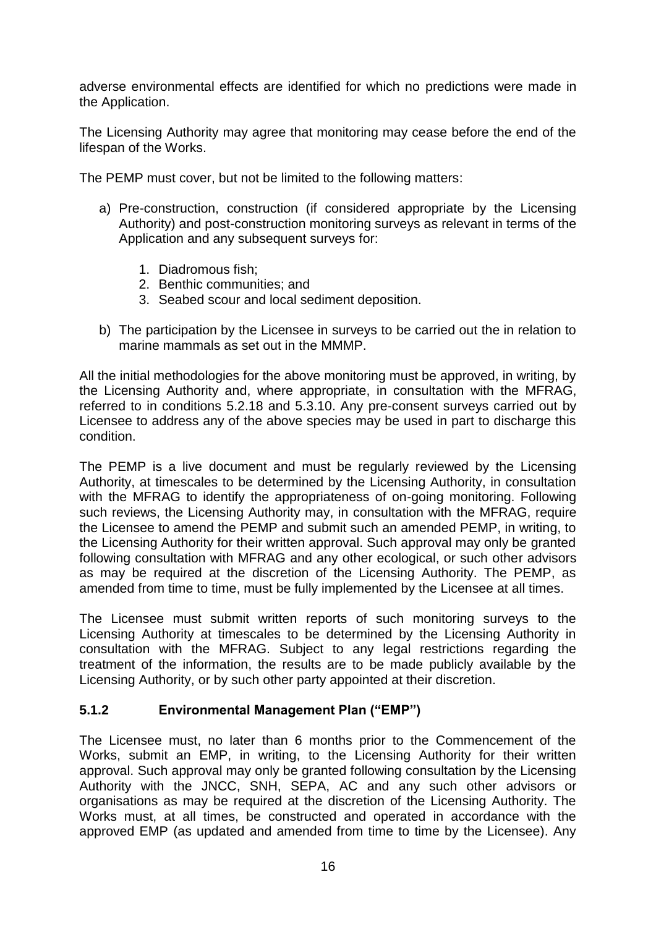adverse environmental effects are identified for which no predictions were made in the Application.

The Licensing Authority may agree that monitoring may cease before the end of the lifespan of the Works.

The PEMP must cover, but not be limited to the following matters:

- a) Pre-construction, construction (if considered appropriate by the Licensing Authority) and post-construction monitoring surveys as relevant in terms of the Application and any subsequent surveys for:
	- 1. Diadromous fish;
	- 2. Benthic communities; and
	- 3. Seabed scour and local sediment deposition.
- b) The participation by the Licensee in surveys to be carried out the in relation to marine mammals as set out in the MMMP.

All the initial methodologies for the above monitoring must be approved, in writing, by the Licensing Authority and, where appropriate, in consultation with the MFRAG, referred to in conditions 5.2.18 and 5.3.10. Any pre-consent surveys carried out by Licensee to address any of the above species may be used in part to discharge this condition.

The PEMP is a live document and must be regularly reviewed by the Licensing Authority, at timescales to be determined by the Licensing Authority, in consultation with the MFRAG to identify the appropriateness of on-going monitoring. Following such reviews, the Licensing Authority may, in consultation with the MFRAG, require the Licensee to amend the PEMP and submit such an amended PEMP, in writing, to the Licensing Authority for their written approval. Such approval may only be granted following consultation with MFRAG and any other ecological, or such other advisors as may be required at the discretion of the Licensing Authority. The PEMP, as amended from time to time, must be fully implemented by the Licensee at all times.

The Licensee must submit written reports of such monitoring surveys to the Licensing Authority at timescales to be determined by the Licensing Authority in consultation with the MFRAG. Subject to any legal restrictions regarding the treatment of the information, the results are to be made publicly available by the Licensing Authority, or by such other party appointed at their discretion.

#### **5.1.2 Environmental Management Plan ("EMP")**

The Licensee must, no later than 6 months prior to the Commencement of the Works, submit an EMP, in writing, to the Licensing Authority for their written approval. Such approval may only be granted following consultation by the Licensing Authority with the JNCC, SNH, SEPA, AC and any such other advisors or organisations as may be required at the discretion of the Licensing Authority. The Works must, at all times, be constructed and operated in accordance with the approved EMP (as updated and amended from time to time by the Licensee). Any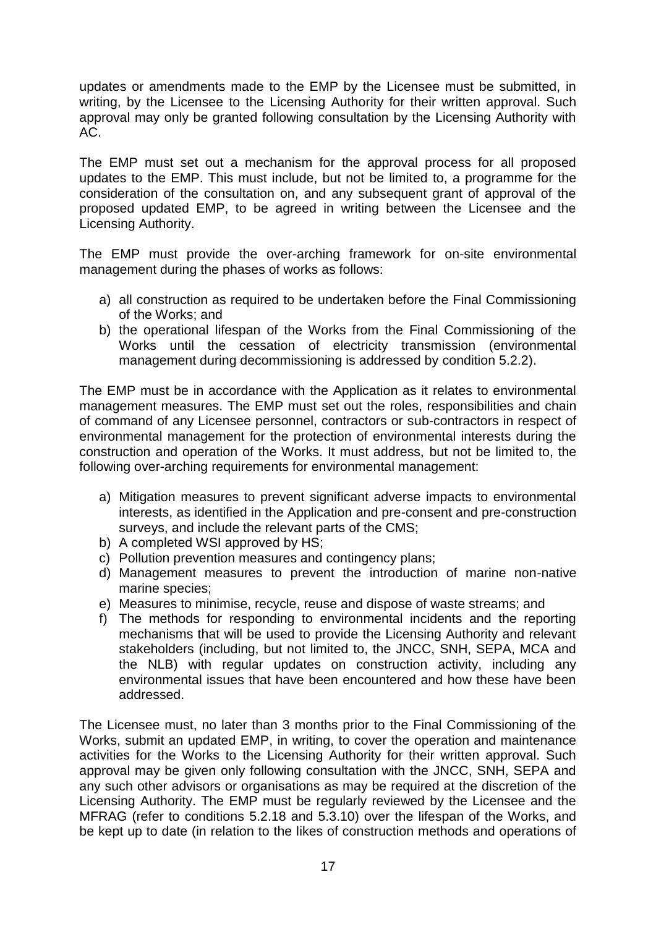updates or amendments made to the EMP by the Licensee must be submitted, in writing, by the Licensee to the Licensing Authority for their written approval. Such approval may only be granted following consultation by the Licensing Authority with AC.

The EMP must set out a mechanism for the approval process for all proposed updates to the EMP. This must include, but not be limited to, a programme for the consideration of the consultation on, and any subsequent grant of approval of the proposed updated EMP, to be agreed in writing between the Licensee and the Licensing Authority.

The EMP must provide the over-arching framework for on-site environmental management during the phases of works as follows:

- a) all construction as required to be undertaken before the Final Commissioning of the Works; and
- b) the operational lifespan of the Works from the Final Commissioning of the Works until the cessation of electricity transmission (environmental management during decommissioning is addressed by condition 5.2.2).

The EMP must be in accordance with the Application as it relates to environmental management measures. The EMP must set out the roles, responsibilities and chain of command of any Licensee personnel, contractors or sub-contractors in respect of environmental management for the protection of environmental interests during the construction and operation of the Works. It must address, but not be limited to, the following over-arching requirements for environmental management:

- a) Mitigation measures to prevent significant adverse impacts to environmental interests, as identified in the Application and pre-consent and pre-construction surveys, and include the relevant parts of the CMS;
- b) A completed WSI approved by HS;
- c) Pollution prevention measures and contingency plans;
- d) Management measures to prevent the introduction of marine non-native marine species;
- e) Measures to minimise, recycle, reuse and dispose of waste streams; and
- f) The methods for responding to environmental incidents and the reporting mechanisms that will be used to provide the Licensing Authority and relevant stakeholders (including, but not limited to, the JNCC, SNH, SEPA, MCA and the NLB) with regular updates on construction activity, including any environmental issues that have been encountered and how these have been addressed.

The Licensee must, no later than 3 months prior to the Final Commissioning of the Works, submit an updated EMP, in writing, to cover the operation and maintenance activities for the Works to the Licensing Authority for their written approval. Such approval may be given only following consultation with the JNCC, SNH, SEPA and any such other advisors or organisations as may be required at the discretion of the Licensing Authority. The EMP must be regularly reviewed by the Licensee and the MFRAG (refer to conditions 5.2.18 and 5.3.10) over the lifespan of the Works, and be kept up to date (in relation to the likes of construction methods and operations of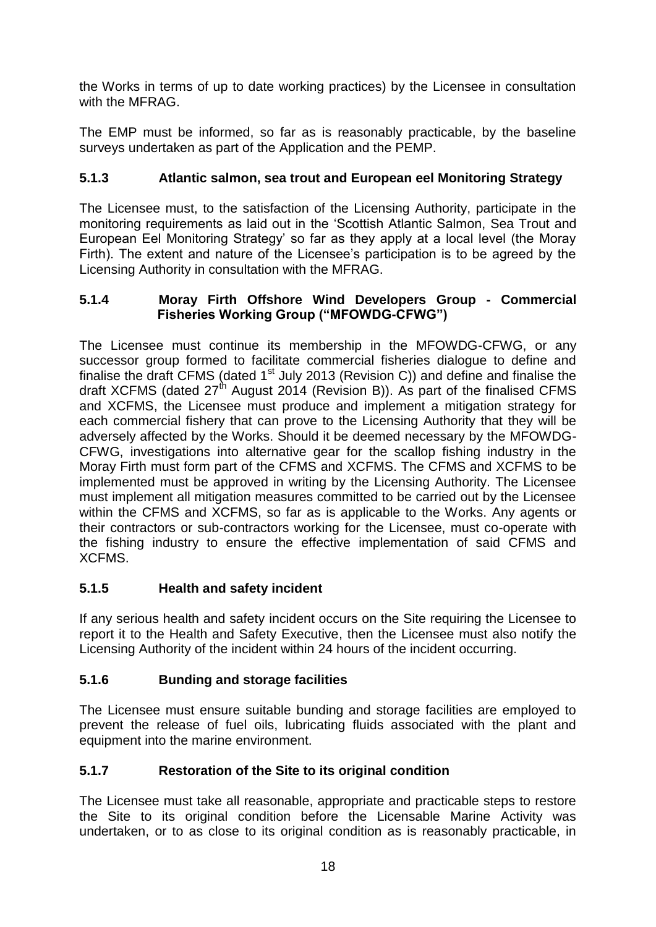the Works in terms of up to date working practices) by the Licensee in consultation with the MFRAG.

The EMP must be informed, so far as is reasonably practicable, by the baseline surveys undertaken as part of the Application and the PEMP.

## **5.1.3 Atlantic salmon, sea trout and European eel Monitoring Strategy**

The Licensee must, to the satisfaction of the Licensing Authority, participate in the monitoring requirements as laid out in the 'Scottish Atlantic Salmon, Sea Trout and European Eel Monitoring Strategy' so far as they apply at a local level (the Moray Firth). The extent and nature of the Licensee's participation is to be agreed by the Licensing Authority in consultation with the MFRAG.

#### **5.1.4 Moray Firth Offshore Wind Developers Group - Commercial Fisheries Working Group ("MFOWDG-CFWG")**

The Licensee must continue its membership in the MFOWDG-CFWG, or any successor group formed to facilitate commercial fisheries dialogue to define and finalise the draft CFMS (dated  $1<sup>st</sup>$  July 2013 (Revision C)) and define and finalise the draft XCFMS (dated 27<sup>th</sup> August 2014 (Revision B)). As part of the finalised CFMS and XCFMS, the Licensee must produce and implement a mitigation strategy for each commercial fishery that can prove to the Licensing Authority that they will be adversely affected by the Works. Should it be deemed necessary by the MFOWDG-CFWG, investigations into alternative gear for the scallop fishing industry in the Moray Firth must form part of the CFMS and XCFMS. The CFMS and XCFMS to be implemented must be approved in writing by the Licensing Authority. The Licensee must implement all mitigation measures committed to be carried out by the Licensee within the CFMS and XCFMS, so far as is applicable to the Works. Any agents or their contractors or sub-contractors working for the Licensee, must co-operate with the fishing industry to ensure the effective implementation of said CFMS and XCFMS.

#### **5.1.5 Health and safety incident**

If any serious health and safety incident occurs on the Site requiring the Licensee to report it to the Health and Safety Executive, then the Licensee must also notify the Licensing Authority of the incident within 24 hours of the incident occurring.

#### **5.1.6 Bunding and storage facilities**

The Licensee must ensure suitable bunding and storage facilities are employed to prevent the release of fuel oils, lubricating fluids associated with the plant and equipment into the marine environment.

## **5.1.7 Restoration of the Site to its original condition**

The Licensee must take all reasonable, appropriate and practicable steps to restore the Site to its original condition before the Licensable Marine Activity was undertaken, or to as close to its original condition as is reasonably practicable, in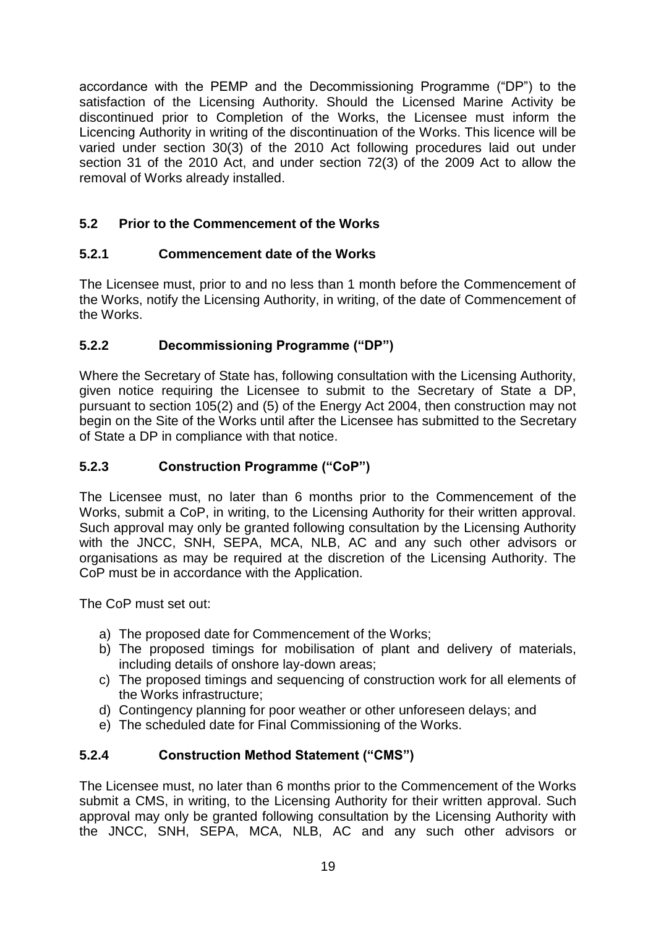accordance with the PEMP and the Decommissioning Programme ("DP") to the satisfaction of the Licensing Authority. Should the Licensed Marine Activity be discontinued prior to Completion of the Works, the Licensee must inform the Licencing Authority in writing of the discontinuation of the Works. This licence will be varied under section 30(3) of the 2010 Act following procedures laid out under section 31 of the 2010 Act, and under section 72(3) of the 2009 Act to allow the removal of Works already installed.

## **5.2 Prior to the Commencement of the Works**

## **5.2.1 Commencement date of the Works**

The Licensee must, prior to and no less than 1 month before the Commencement of the Works, notify the Licensing Authority, in writing, of the date of Commencement of the Works.

## **5.2.2 Decommissioning Programme ("DP")**

Where the Secretary of State has, following consultation with the Licensing Authority, given notice requiring the Licensee to submit to the Secretary of State a DP, pursuant to section 105(2) and (5) of the Energy Act 2004, then construction may not begin on the Site of the Works until after the Licensee has submitted to the Secretary of State a DP in compliance with that notice.

## **5.2.3 Construction Programme ("CoP")**

The Licensee must, no later than 6 months prior to the Commencement of the Works, submit a CoP, in writing, to the Licensing Authority for their written approval. Such approval may only be granted following consultation by the Licensing Authority with the JNCC, SNH, SEPA, MCA, NLB, AC and any such other advisors or organisations as may be required at the discretion of the Licensing Authority. The CoP must be in accordance with the Application.

The CoP must set out:

- a) The proposed date for Commencement of the Works;
- b) The proposed timings for mobilisation of plant and delivery of materials, including details of onshore lay-down areas;
- c) The proposed timings and sequencing of construction work for all elements of the Works infrastructure;
- d) Contingency planning for poor weather or other unforeseen delays; and
- e) The scheduled date for Final Commissioning of the Works.

## **5.2.4 Construction Method Statement ("CMS")**

The Licensee must, no later than 6 months prior to the Commencement of the Works submit a CMS, in writing, to the Licensing Authority for their written approval. Such approval may only be granted following consultation by the Licensing Authority with the JNCC, SNH, SEPA, MCA, NLB, AC and any such other advisors or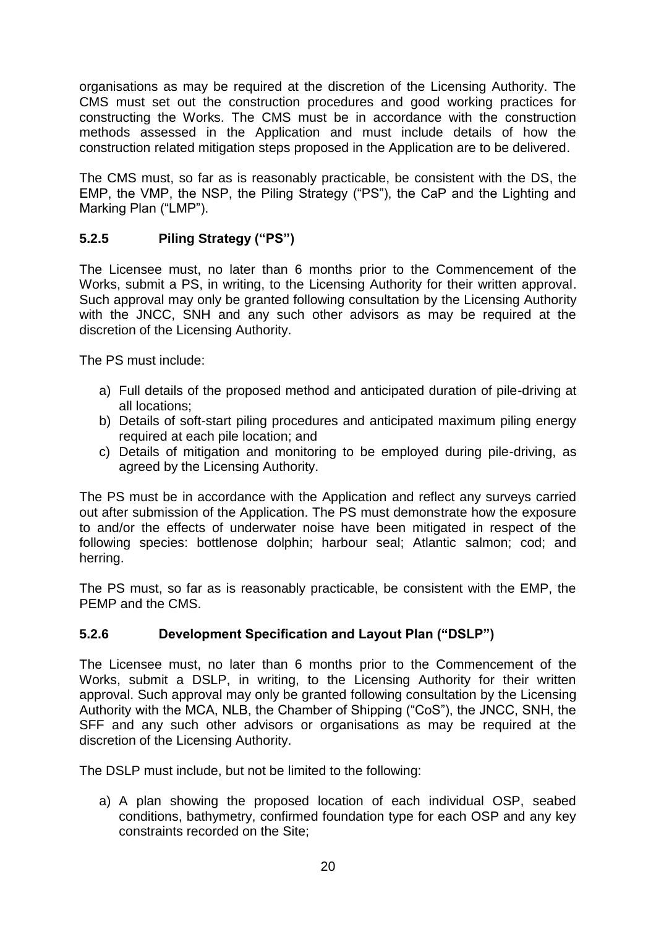organisations as may be required at the discretion of the Licensing Authority. The CMS must set out the construction procedures and good working practices for constructing the Works. The CMS must be in accordance with the construction methods assessed in the Application and must include details of how the construction related mitigation steps proposed in the Application are to be delivered.

The CMS must, so far as is reasonably practicable, be consistent with the DS, the EMP, the VMP, the NSP, the Piling Strategy ("PS"), the CaP and the Lighting and Marking Plan ("LMP").

## **5.2.5 Piling Strategy ("PS")**

The Licensee must, no later than 6 months prior to the Commencement of the Works, submit a PS, in writing, to the Licensing Authority for their written approval. Such approval may only be granted following consultation by the Licensing Authority with the JNCC, SNH and any such other advisors as may be required at the discretion of the Licensing Authority.

The PS must include:

- a) Full details of the proposed method and anticipated duration of pile-driving at all locations;
- b) Details of soft-start piling procedures and anticipated maximum piling energy required at each pile location; and
- c) Details of mitigation and monitoring to be employed during pile-driving, as agreed by the Licensing Authority.

The PS must be in accordance with the Application and reflect any surveys carried out after submission of the Application. The PS must demonstrate how the exposure to and/or the effects of underwater noise have been mitigated in respect of the following species: bottlenose dolphin; harbour seal; Atlantic salmon; cod; and herring.

The PS must, so far as is reasonably practicable, be consistent with the EMP, the PEMP and the CMS.

## **5.2.6 Development Specification and Layout Plan ("DSLP")**

The Licensee must, no later than 6 months prior to the Commencement of the Works, submit a DSLP, in writing, to the Licensing Authority for their written approval. Such approval may only be granted following consultation by the Licensing Authority with the MCA, NLB, the Chamber of Shipping ("CoS"), the JNCC, SNH, the SFF and any such other advisors or organisations as may be required at the discretion of the Licensing Authority.

The DSLP must include, but not be limited to the following:

a) A plan showing the proposed location of each individual OSP, seabed conditions, bathymetry, confirmed foundation type for each OSP and any key constraints recorded on the Site;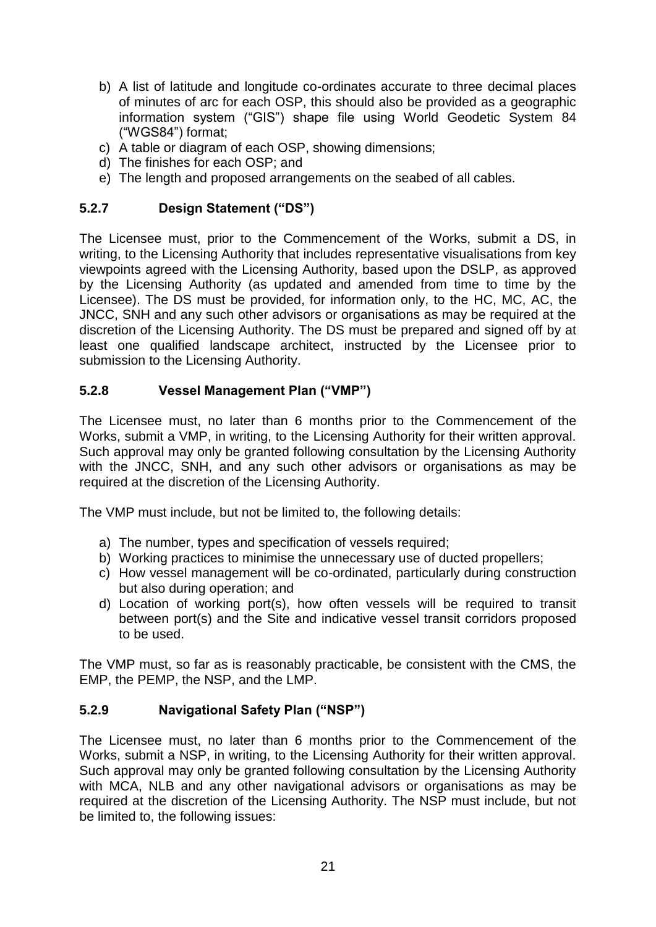- b) A list of latitude and longitude co-ordinates accurate to three decimal places of minutes of arc for each OSP, this should also be provided as a geographic information system ("GIS") shape file using World Geodetic System 84 ("WGS84") format;
- c) A table or diagram of each OSP, showing dimensions;
- d) The finishes for each OSP; and
- e) The length and proposed arrangements on the seabed of all cables.

## **5.2.7 Design Statement ("DS")**

The Licensee must, prior to the Commencement of the Works, submit a DS, in writing, to the Licensing Authority that includes representative visualisations from key viewpoints agreed with the Licensing Authority, based upon the DSLP, as approved by the Licensing Authority (as updated and amended from time to time by the Licensee). The DS must be provided, for information only, to the HC, MC, AC, the JNCC, SNH and any such other advisors or organisations as may be required at the discretion of the Licensing Authority. The DS must be prepared and signed off by at least one qualified landscape architect, instructed by the Licensee prior to submission to the Licensing Authority.

## **5.2.8 Vessel Management Plan ("VMP")**

The Licensee must, no later than 6 months prior to the Commencement of the Works, submit a VMP, in writing, to the Licensing Authority for their written approval. Such approval may only be granted following consultation by the Licensing Authority with the JNCC, SNH, and any such other advisors or organisations as may be required at the discretion of the Licensing Authority.

The VMP must include, but not be limited to, the following details:

- a) The number, types and specification of vessels required;
- b) Working practices to minimise the unnecessary use of ducted propellers;
- c) How vessel management will be co-ordinated, particularly during construction but also during operation; and
- d) Location of working port(s), how often vessels will be required to transit between port(s) and the Site and indicative vessel transit corridors proposed to be used.

The VMP must, so far as is reasonably practicable, be consistent with the CMS, the EMP, the PEMP, the NSP, and the LMP.

#### **5.2.9 Navigational Safety Plan ("NSP")**

The Licensee must, no later than 6 months prior to the Commencement of the Works, submit a NSP, in writing, to the Licensing Authority for their written approval. Such approval may only be granted following consultation by the Licensing Authority with MCA, NLB and any other navigational advisors or organisations as may be required at the discretion of the Licensing Authority. The NSP must include, but not be limited to, the following issues: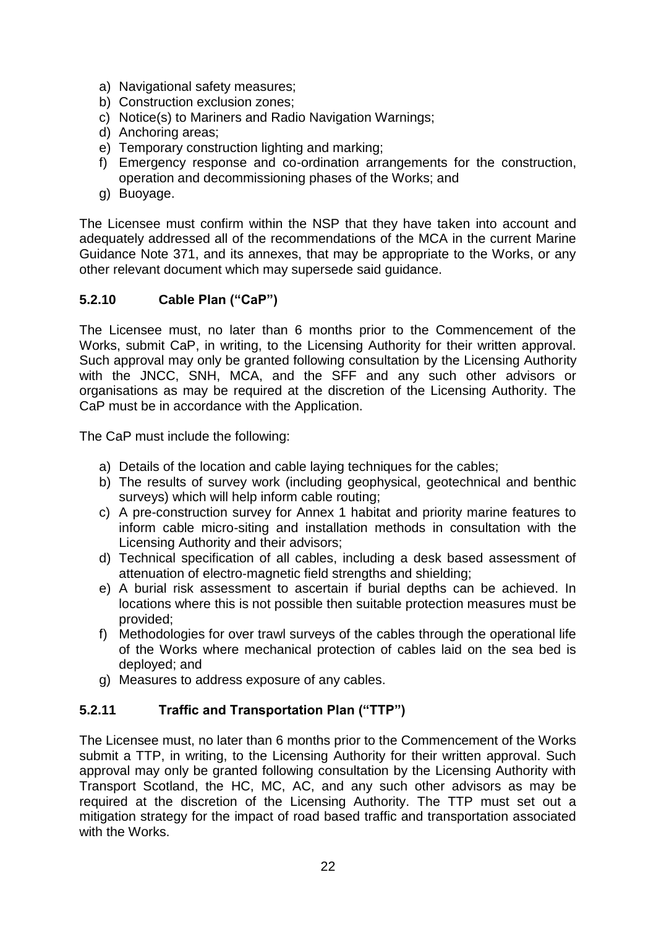- a) Navigational safety measures;
- b) Construction exclusion zones;
- c) Notice(s) to Mariners and Radio Navigation Warnings;
- d) Anchoring areas;
- e) Temporary construction lighting and marking;
- f) Emergency response and co-ordination arrangements for the construction, operation and decommissioning phases of the Works; and
- g) Buoyage.

The Licensee must confirm within the NSP that they have taken into account and adequately addressed all of the recommendations of the MCA in the current Marine Guidance Note 371, and its annexes, that may be appropriate to the Works, or any other relevant document which may supersede said guidance.

#### **5.2.10 Cable Plan ("CaP")**

The Licensee must, no later than 6 months prior to the Commencement of the Works, submit CaP, in writing, to the Licensing Authority for their written approval. Such approval may only be granted following consultation by the Licensing Authority with the JNCC, SNH, MCA, and the SFF and any such other advisors or organisations as may be required at the discretion of the Licensing Authority. The CaP must be in accordance with the Application.

The CaP must include the following:

- a) Details of the location and cable laying techniques for the cables;
- b) The results of survey work (including geophysical, geotechnical and benthic surveys) which will help inform cable routing;
- c) A pre-construction survey for Annex 1 habitat and priority marine features to inform cable micro-siting and installation methods in consultation with the Licensing Authority and their advisors;
- d) Technical specification of all cables, including a desk based assessment of attenuation of electro‐magnetic field strengths and shielding;
- e) A burial risk assessment to ascertain if burial depths can be achieved. In locations where this is not possible then suitable protection measures must be provided;
- f) Methodologies for over trawl surveys of the cables through the operational life of the Works where mechanical protection of cables laid on the sea bed is deployed; and
- g) Measures to address exposure of any cables.

#### **5.2.11 Traffic and Transportation Plan ("TTP")**

The Licensee must, no later than 6 months prior to the Commencement of the Works submit a TTP, in writing, to the Licensing Authority for their written approval. Such approval may only be granted following consultation by the Licensing Authority with Transport Scotland, the HC, MC, AC, and any such other advisors as may be required at the discretion of the Licensing Authority. The TTP must set out a mitigation strategy for the impact of road based traffic and transportation associated with the Works.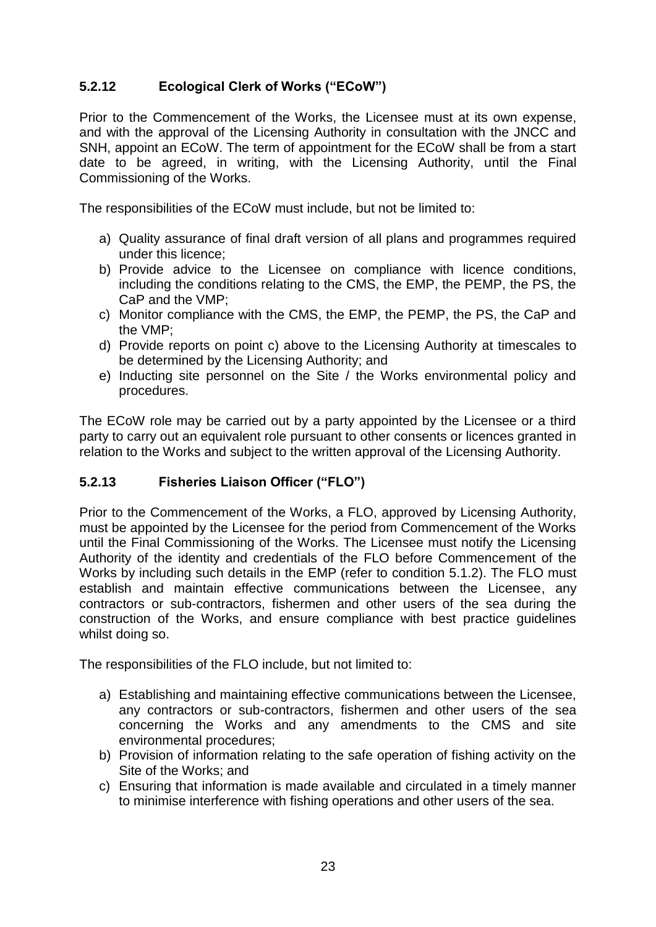## **5.2.12 Ecological Clerk of Works ("ECoW")**

Prior to the Commencement of the Works, the Licensee must at its own expense, and with the approval of the Licensing Authority in consultation with the JNCC and SNH, appoint an ECoW. The term of appointment for the ECoW shall be from a start date to be agreed, in writing, with the Licensing Authority, until the Final Commissioning of the Works.

The responsibilities of the ECoW must include, but not be limited to:

- a) Quality assurance of final draft version of all plans and programmes required under this licence;
- b) Provide advice to the Licensee on compliance with licence conditions, including the conditions relating to the CMS, the EMP, the PEMP, the PS, the CaP and the VMP;
- c) Monitor compliance with the CMS, the EMP, the PEMP, the PS, the CaP and the VMP;
- d) Provide reports on point c) above to the Licensing Authority at timescales to be determined by the Licensing Authority; and
- e) Inducting site personnel on the Site / the Works environmental policy and procedures.

The ECoW role may be carried out by a party appointed by the Licensee or a third party to carry out an equivalent role pursuant to other consents or licences granted in relation to the Works and subject to the written approval of the Licensing Authority.

#### **5.2.13 Fisheries Liaison Officer ("FLO")**

Prior to the Commencement of the Works, a FLO, approved by Licensing Authority, must be appointed by the Licensee for the period from Commencement of the Works until the Final Commissioning of the Works. The Licensee must notify the Licensing Authority of the identity and credentials of the FLO before Commencement of the Works by including such details in the EMP (refer to condition 5.1.2). The FLO must establish and maintain effective communications between the Licensee, any contractors or sub-contractors, fishermen and other users of the sea during the construction of the Works, and ensure compliance with best practice guidelines whilst doing so.

The responsibilities of the FLO include, but not limited to:

- a) Establishing and maintaining effective communications between the Licensee, any contractors or sub-contractors, fishermen and other users of the sea concerning the Works and any amendments to the CMS and site environmental procedures;
- b) Provision of information relating to the safe operation of fishing activity on the Site of the Works; and
- c) Ensuring that information is made available and circulated in a timely manner to minimise interference with fishing operations and other users of the sea.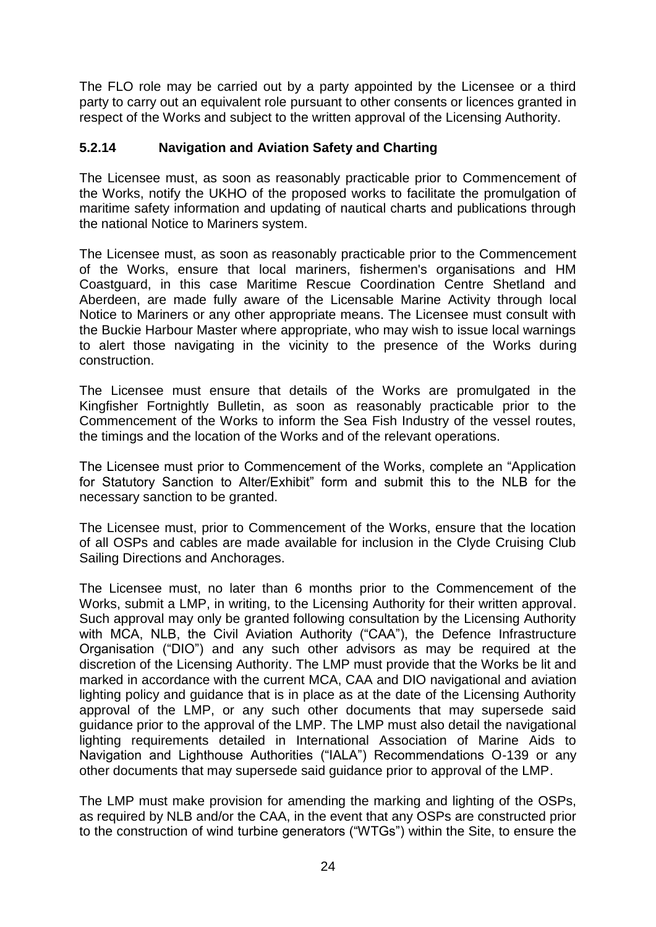The FLO role may be carried out by a party appointed by the Licensee or a third party to carry out an equivalent role pursuant to other consents or licences granted in respect of the Works and subject to the written approval of the Licensing Authority.

#### **5.2.14 Navigation and Aviation Safety and Charting**

The Licensee must, as soon as reasonably practicable prior to Commencement of the Works, notify the UKHO of the proposed works to facilitate the promulgation of maritime safety information and updating of nautical charts and publications through the national Notice to Mariners system.

The Licensee must, as soon as reasonably practicable prior to the Commencement of the Works, ensure that local mariners, fishermen's organisations and HM Coastguard, in this case Maritime Rescue Coordination Centre Shetland and Aberdeen, are made fully aware of the Licensable Marine Activity through local Notice to Mariners or any other appropriate means. The Licensee must consult with the Buckie Harbour Master where appropriate, who may wish to issue local warnings to alert those navigating in the vicinity to the presence of the Works during construction.

The Licensee must ensure that details of the Works are promulgated in the Kingfisher Fortnightly Bulletin, as soon as reasonably practicable prior to the Commencement of the Works to inform the Sea Fish Industry of the vessel routes, the timings and the location of the Works and of the relevant operations.

The Licensee must prior to Commencement of the Works, complete an "Application for Statutory Sanction to Alter/Exhibit" form and submit this to the NLB for the necessary sanction to be granted.

The Licensee must, prior to Commencement of the Works, ensure that the location of all OSPs and cables are made available for inclusion in the Clyde Cruising Club Sailing Directions and Anchorages.

The Licensee must, no later than 6 months prior to the Commencement of the Works, submit a LMP, in writing, to the Licensing Authority for their written approval. Such approval may only be granted following consultation by the Licensing Authority with MCA, NLB, the Civil Aviation Authority ("CAA"), the Defence Infrastructure Organisation ("DIO") and any such other advisors as may be required at the discretion of the Licensing Authority. The LMP must provide that the Works be lit and marked in accordance with the current MCA, CAA and DIO navigational and aviation lighting policy and guidance that is in place as at the date of the Licensing Authority approval of the LMP, or any such other documents that may supersede said guidance prior to the approval of the LMP. The LMP must also detail the navigational lighting requirements detailed in International Association of Marine Aids to Navigation and Lighthouse Authorities ("IALA") Recommendations O-139 or any other documents that may supersede said guidance prior to approval of the LMP.

The LMP must make provision for amending the marking and lighting of the OSPs, as required by NLB and/or the CAA, in the event that any OSPs are constructed prior to the construction of wind turbine generators ("WTGs") within the Site, to ensure the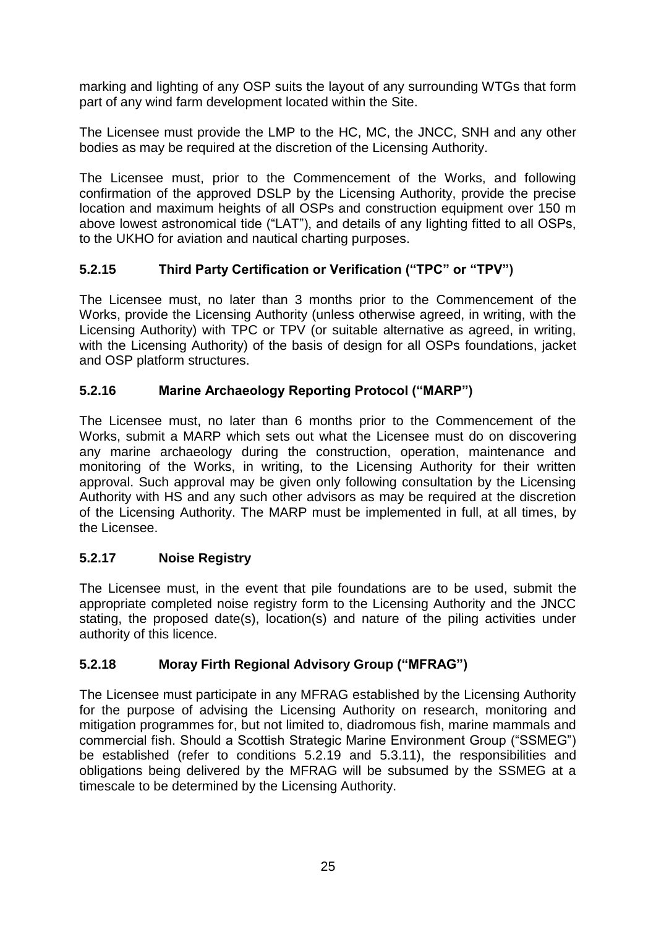marking and lighting of any OSP suits the layout of any surrounding WTGs that form part of any wind farm development located within the Site.

The Licensee must provide the LMP to the HC, MC, the JNCC, SNH and any other bodies as may be required at the discretion of the Licensing Authority.

The Licensee must, prior to the Commencement of the Works, and following confirmation of the approved DSLP by the Licensing Authority, provide the precise location and maximum heights of all OSPs and construction equipment over 150 m above lowest astronomical tide ("LAT"), and details of any lighting fitted to all OSPs, to the UKHO for aviation and nautical charting purposes.

## **5.2.15 Third Party Certification or Verification ("TPC" or "TPV")**

The Licensee must, no later than 3 months prior to the Commencement of the Works, provide the Licensing Authority (unless otherwise agreed, in writing, with the Licensing Authority) with TPC or TPV (or suitable alternative as agreed, in writing, with the Licensing Authority) of the basis of design for all OSPs foundations, jacket and OSP platform structures.

## **5.2.16 Marine Archaeology Reporting Protocol ("MARP")**

The Licensee must, no later than 6 months prior to the Commencement of the Works, submit a MARP which sets out what the Licensee must do on discovering any marine archaeology during the construction, operation, maintenance and monitoring of the Works, in writing, to the Licensing Authority for their written approval. Such approval may be given only following consultation by the Licensing Authority with HS and any such other advisors as may be required at the discretion of the Licensing Authority. The MARP must be implemented in full, at all times, by the Licensee.

## **5.2.17 Noise Registry**

The Licensee must, in the event that pile foundations are to be used, submit the appropriate completed noise registry form to the Licensing Authority and the JNCC stating, the proposed date(s), location(s) and nature of the piling activities under authority of this licence.

## **5.2.18 Moray Firth Regional Advisory Group ("MFRAG")**

The Licensee must participate in any MFRAG established by the Licensing Authority for the purpose of advising the Licensing Authority on research, monitoring and mitigation programmes for, but not limited to, diadromous fish, marine mammals and commercial fish. Should a Scottish Strategic Marine Environment Group ("SSMEG") be established (refer to conditions 5.2.19 and 5.3.11), the responsibilities and obligations being delivered by the MFRAG will be subsumed by the SSMEG at a timescale to be determined by the Licensing Authority.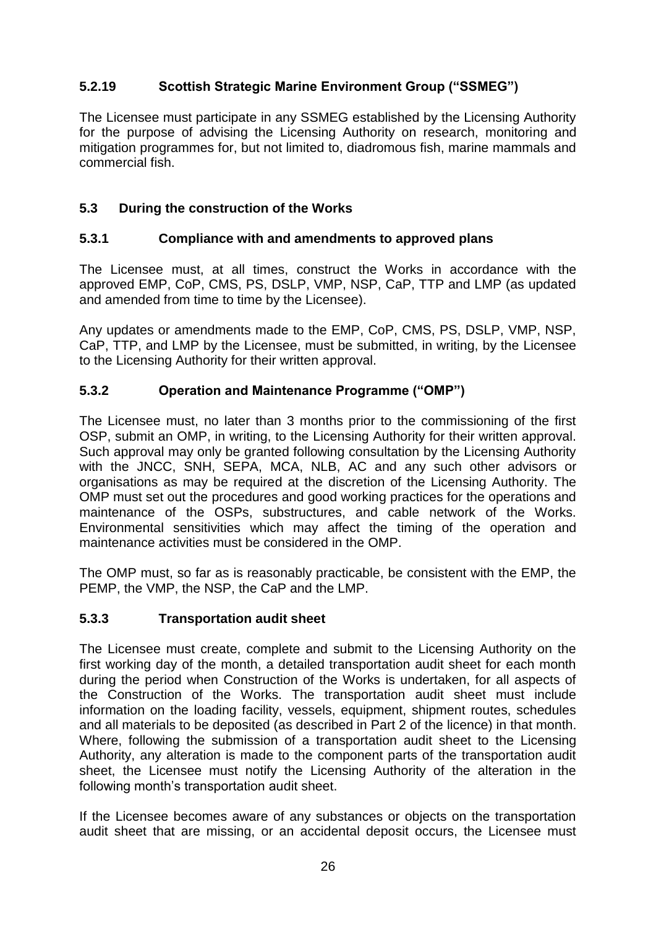## **5.2.19 Scottish Strategic Marine Environment Group ("SSMEG")**

The Licensee must participate in any SSMEG established by the Licensing Authority for the purpose of advising the Licensing Authority on research, monitoring and mitigation programmes for, but not limited to, diadromous fish, marine mammals and commercial fish.

## **5.3 During the construction of the Works**

#### **5.3.1 Compliance with and amendments to approved plans**

The Licensee must, at all times, construct the Works in accordance with the approved EMP, CoP, CMS, PS, DSLP, VMP, NSP, CaP, TTP and LMP (as updated and amended from time to time by the Licensee).

Any updates or amendments made to the EMP, CoP, CMS, PS, DSLP, VMP, NSP, CaP, TTP, and LMP by the Licensee, must be submitted, in writing, by the Licensee to the Licensing Authority for their written approval.

## **5.3.2 Operation and Maintenance Programme ("OMP")**

The Licensee must, no later than 3 months prior to the commissioning of the first OSP, submit an OMP, in writing, to the Licensing Authority for their written approval. Such approval may only be granted following consultation by the Licensing Authority with the JNCC, SNH, SEPA, MCA, NLB, AC and any such other advisors or organisations as may be required at the discretion of the Licensing Authority. The OMP must set out the procedures and good working practices for the operations and maintenance of the OSPs, substructures, and cable network of the Works. Environmental sensitivities which may affect the timing of the operation and maintenance activities must be considered in the OMP.

The OMP must, so far as is reasonably practicable, be consistent with the EMP, the PEMP, the VMP, the NSP, the CaP and the LMP.

#### **5.3.3 Transportation audit sheet**

The Licensee must create, complete and submit to the Licensing Authority on the first working day of the month, a detailed transportation audit sheet for each month during the period when Construction of the Works is undertaken, for all aspects of the Construction of the Works. The transportation audit sheet must include information on the loading facility, vessels, equipment, shipment routes, schedules and all materials to be deposited (as described in Part 2 of the licence) in that month. Where, following the submission of a transportation audit sheet to the Licensing Authority, any alteration is made to the component parts of the transportation audit sheet, the Licensee must notify the Licensing Authority of the alteration in the following month's transportation audit sheet.

If the Licensee becomes aware of any substances or objects on the transportation audit sheet that are missing, or an accidental deposit occurs, the Licensee must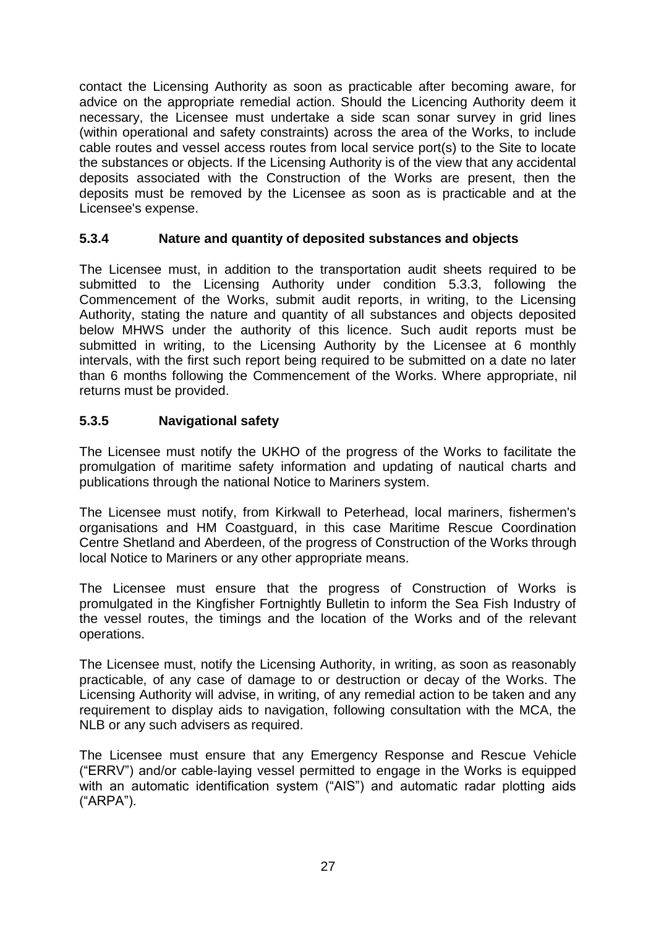contact the Licensing Authority as soon as practicable after becoming aware, for advice on the appropriate remedial action. Should the Licencing Authority deem it necessary, the Licensee must undertake a side scan sonar survey in grid lines (within operational and safety constraints) across the area of the Works, to include cable routes and vessel access routes from local service port(s) to the Site to locate the substances or objects. If the Licensing Authority is of the view that any accidental deposits associated with the Construction of the Works are present, then the deposits must be removed by the Licensee as soon as is practicable and at the Licensee's expense.

#### **5.3.4 Nature and quantity of deposited substances and objects**

The Licensee must, in addition to the transportation audit sheets required to be submitted to the Licensing Authority under condition 5.3.3, following the Commencement of the Works, submit audit reports, in writing, to the Licensing Authority, stating the nature and quantity of all substances and objects deposited below MHWS under the authority of this licence. Such audit reports must be submitted in writing, to the Licensing Authority by the Licensee at 6 monthly intervals, with the first such report being required to be submitted on a date no later than 6 months following the Commencement of the Works. Where appropriate, nil returns must be provided.

## **5.3.5 Navigational safety**

The Licensee must notify the UKHO of the progress of the Works to facilitate the promulgation of maritime safety information and updating of nautical charts and publications through the national Notice to Mariners system.

The Licensee must notify, from Kirkwall to Peterhead, local mariners, fishermen's organisations and HM Coastguard, in this case Maritime Rescue Coordination Centre Shetland and Aberdeen, of the progress of Construction of the Works through local Notice to Mariners or any other appropriate means.

The Licensee must ensure that the progress of Construction of Works is promulgated in the Kingfisher Fortnightly Bulletin to inform the Sea Fish Industry of the vessel routes, the timings and the location of the Works and of the relevant operations.

The Licensee must, notify the Licensing Authority, in writing, as soon as reasonably practicable, of any case of damage to or destruction or decay of the Works. The Licensing Authority will advise, in writing, of any remedial action to be taken and any requirement to display aids to navigation, following consultation with the MCA, the NLB or any such advisers as required.

The Licensee must ensure that any Emergency Response and Rescue Vehicle ("ERRV") and/or cable-laying vessel permitted to engage in the Works is equipped with an automatic identification system ("AIS") and automatic radar plotting aids ("ARPA").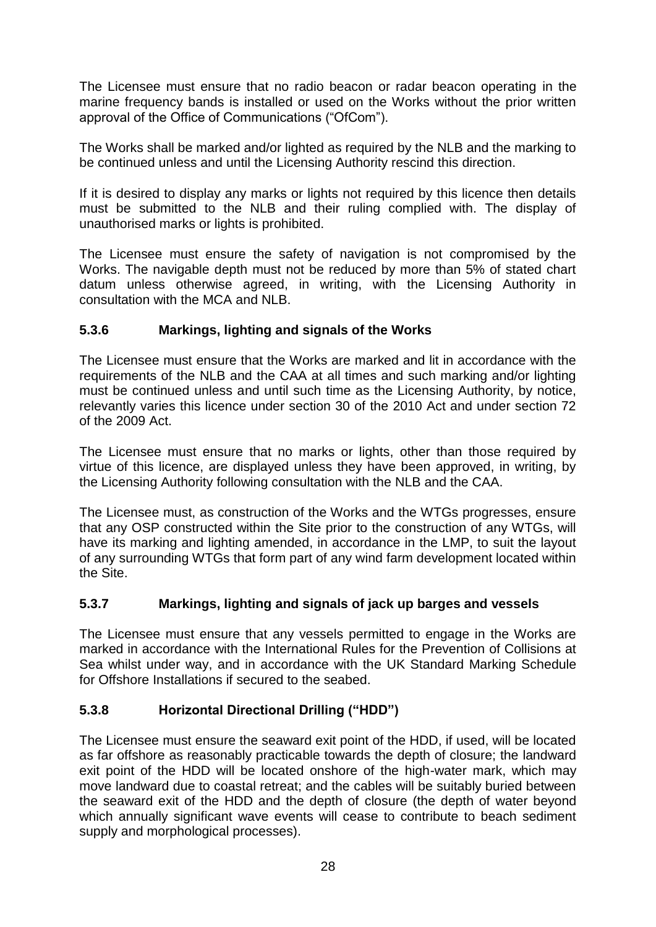The Licensee must ensure that no radio beacon or radar beacon operating in the marine frequency bands is installed or used on the Works without the prior written approval of the Office of Communications ("OfCom").

The Works shall be marked and/or lighted as required by the NLB and the marking to be continued unless and until the Licensing Authority rescind this direction.

If it is desired to display any marks or lights not required by this licence then details must be submitted to the NLB and their ruling complied with. The display of unauthorised marks or lights is prohibited.

The Licensee must ensure the safety of navigation is not compromised by the Works. The navigable depth must not be reduced by more than 5% of stated chart datum unless otherwise agreed, in writing, with the Licensing Authority in consultation with the MCA and NLB.

## **5.3.6 Markings, lighting and signals of the Works**

The Licensee must ensure that the Works are marked and lit in accordance with the requirements of the NLB and the CAA at all times and such marking and/or lighting must be continued unless and until such time as the Licensing Authority, by notice, relevantly varies this licence under section 30 of the 2010 Act and under section 72 of the 2009 Act.

The Licensee must ensure that no marks or lights, other than those required by virtue of this licence, are displayed unless they have been approved, in writing, by the Licensing Authority following consultation with the NLB and the CAA.

The Licensee must, as construction of the Works and the WTGs progresses, ensure that any OSP constructed within the Site prior to the construction of any WTGs, will have its marking and lighting amended, in accordance in the LMP, to suit the layout of any surrounding WTGs that form part of any wind farm development located within the Site.

#### **5.3.7 Markings, lighting and signals of jack up barges and vessels**

The Licensee must ensure that any vessels permitted to engage in the Works are marked in accordance with the International Rules for the Prevention of Collisions at Sea whilst under way, and in accordance with the UK Standard Marking Schedule for Offshore Installations if secured to the seabed.

## **5.3.8 Horizontal Directional Drilling ("HDD")**

The Licensee must ensure the seaward exit point of the HDD, if used, will be located as far offshore as reasonably practicable towards the depth of closure; the landward exit point of the HDD will be located onshore of the high-water mark, which may move landward due to coastal retreat; and the cables will be suitably buried between the seaward exit of the HDD and the depth of closure (the depth of water beyond which annually significant wave events will cease to contribute to beach sediment supply and morphological processes).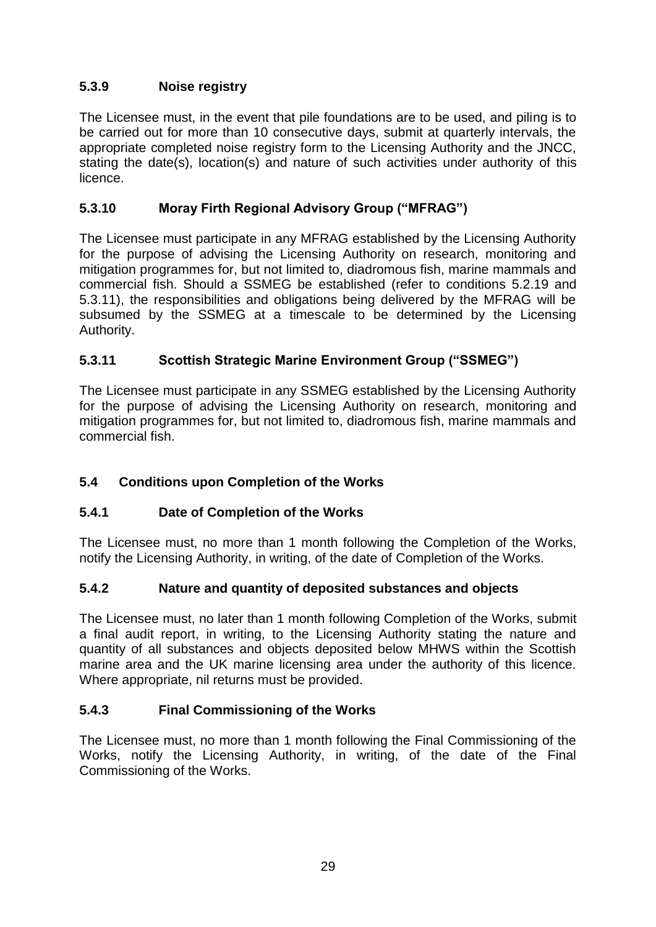## **5.3.9 Noise registry**

The Licensee must, in the event that pile foundations are to be used, and piling is to be carried out for more than 10 consecutive days, submit at quarterly intervals, the appropriate completed noise registry form to the Licensing Authority and the JNCC, stating the date(s), location(s) and nature of such activities under authority of this licence.

## **5.3.10 Moray Firth Regional Advisory Group ("MFRAG")**

The Licensee must participate in any MFRAG established by the Licensing Authority for the purpose of advising the Licensing Authority on research, monitoring and mitigation programmes for, but not limited to, diadromous fish, marine mammals and commercial fish. Should a SSMEG be established (refer to conditions 5.2.19 and 5.3.11), the responsibilities and obligations being delivered by the MFRAG will be subsumed by the SSMEG at a timescale to be determined by the Licensing Authority.

## **5.3.11 Scottish Strategic Marine Environment Group ("SSMEG")**

The Licensee must participate in any SSMEG established by the Licensing Authority for the purpose of advising the Licensing Authority on research, monitoring and mitigation programmes for, but not limited to, diadromous fish, marine mammals and commercial fish.

## **5.4 Conditions upon Completion of the Works**

#### **5.4.1 Date of Completion of the Works**

The Licensee must, no more than 1 month following the Completion of the Works, notify the Licensing Authority, in writing, of the date of Completion of the Works.

#### **5.4.2 Nature and quantity of deposited substances and objects**

The Licensee must, no later than 1 month following Completion of the Works, submit a final audit report, in writing, to the Licensing Authority stating the nature and quantity of all substances and objects deposited below MHWS within the Scottish marine area and the UK marine licensing area under the authority of this licence. Where appropriate, nil returns must be provided.

#### **5.4.3 Final Commissioning of the Works**

The Licensee must, no more than 1 month following the Final Commissioning of the Works, notify the Licensing Authority, in writing, of the date of the Final Commissioning of the Works.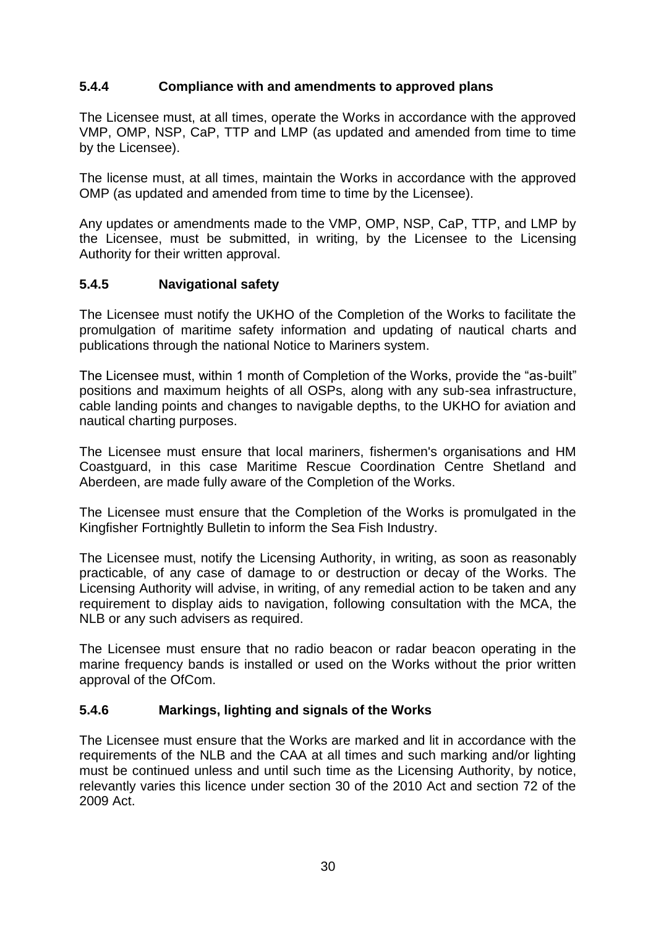#### **5.4.4 Compliance with and amendments to approved plans**

The Licensee must, at all times, operate the Works in accordance with the approved VMP, OMP, NSP, CaP, TTP and LMP (as updated and amended from time to time by the Licensee).

The license must, at all times, maintain the Works in accordance with the approved OMP (as updated and amended from time to time by the Licensee).

Any updates or amendments made to the VMP, OMP, NSP, CaP, TTP, and LMP by the Licensee, must be submitted, in writing, by the Licensee to the Licensing Authority for their written approval.

#### **5.4.5 Navigational safety**

The Licensee must notify the UKHO of the Completion of the Works to facilitate the promulgation of maritime safety information and updating of nautical charts and publications through the national Notice to Mariners system.

The Licensee must, within 1 month of Completion of the Works, provide the "as-built" positions and maximum heights of all OSPs, along with any sub-sea infrastructure, cable landing points and changes to navigable depths, to the UKHO for aviation and nautical charting purposes.

The Licensee must ensure that local mariners, fishermen's organisations and HM Coastguard, in this case Maritime Rescue Coordination Centre Shetland and Aberdeen, are made fully aware of the Completion of the Works.

The Licensee must ensure that the Completion of the Works is promulgated in the Kingfisher Fortnightly Bulletin to inform the Sea Fish Industry.

The Licensee must, notify the Licensing Authority, in writing, as soon as reasonably practicable, of any case of damage to or destruction or decay of the Works. The Licensing Authority will advise, in writing, of any remedial action to be taken and any requirement to display aids to navigation, following consultation with the MCA, the NLB or any such advisers as required.

The Licensee must ensure that no radio beacon or radar beacon operating in the marine frequency bands is installed or used on the Works without the prior written approval of the OfCom.

#### **5.4.6 Markings, lighting and signals of the Works**

The Licensee must ensure that the Works are marked and lit in accordance with the requirements of the NLB and the CAA at all times and such marking and/or lighting must be continued unless and until such time as the Licensing Authority, by notice, relevantly varies this licence under section 30 of the 2010 Act and section 72 of the 2009 Act.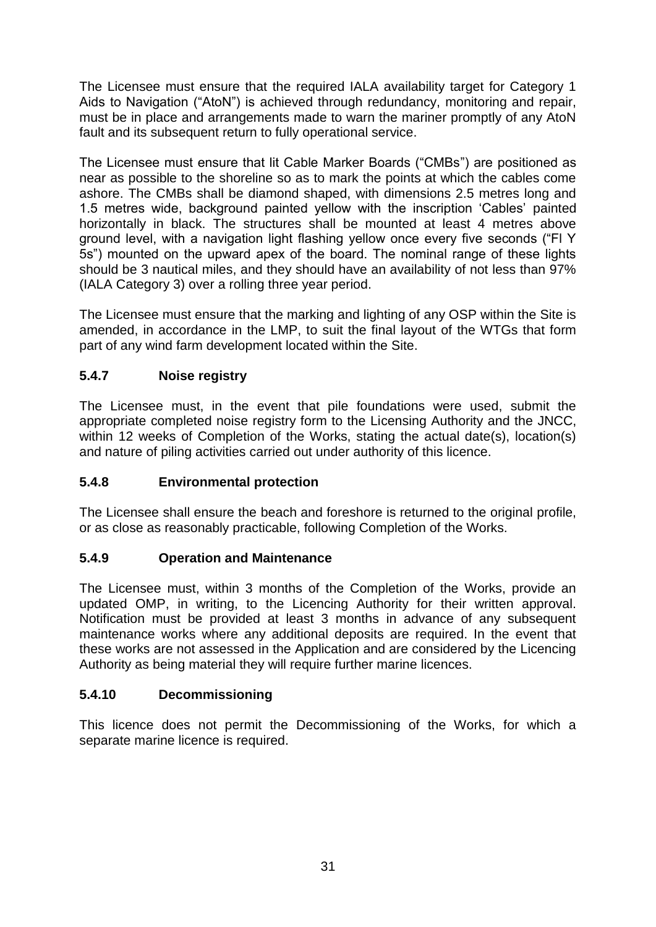The Licensee must ensure that the required IALA availability target for Category 1 Aids to Navigation ("AtoN") is achieved through redundancy, monitoring and repair, must be in place and arrangements made to warn the mariner promptly of any AtoN fault and its subsequent return to fully operational service.

The Licensee must ensure that lit Cable Marker Boards ("CMBs") are positioned as near as possible to the shoreline so as to mark the points at which the cables come ashore. The CMBs shall be diamond shaped, with dimensions 2.5 metres long and 1.5 metres wide, background painted yellow with the inscription 'Cables' painted horizontally in black. The structures shall be mounted at least 4 metres above ground level, with a navigation light flashing yellow once every five seconds ("Fl Y 5s") mounted on the upward apex of the board. The nominal range of these lights should be 3 nautical miles, and they should have an availability of not less than 97% (IALA Category 3) over a rolling three year period.

The Licensee must ensure that the marking and lighting of any OSP within the Site is amended, in accordance in the LMP, to suit the final layout of the WTGs that form part of any wind farm development located within the Site.

## **5.4.7 Noise registry**

The Licensee must, in the event that pile foundations were used, submit the appropriate completed noise registry form to the Licensing Authority and the JNCC, within 12 weeks of Completion of the Works, stating the actual date(s), location(s) and nature of piling activities carried out under authority of this licence.

## **5.4.8 Environmental protection**

The Licensee shall ensure the beach and foreshore is returned to the original profile, or as close as reasonably practicable, following Completion of the Works.

## **5.4.9 Operation and Maintenance**

The Licensee must, within 3 months of the Completion of the Works, provide an updated OMP, in writing, to the Licencing Authority for their written approval. Notification must be provided at least 3 months in advance of any subsequent maintenance works where any additional deposits are required. In the event that these works are not assessed in the Application and are considered by the Licencing Authority as being material they will require further marine licences.

## **5.4.10 Decommissioning**

This licence does not permit the Decommissioning of the Works, for which a separate marine licence is required.